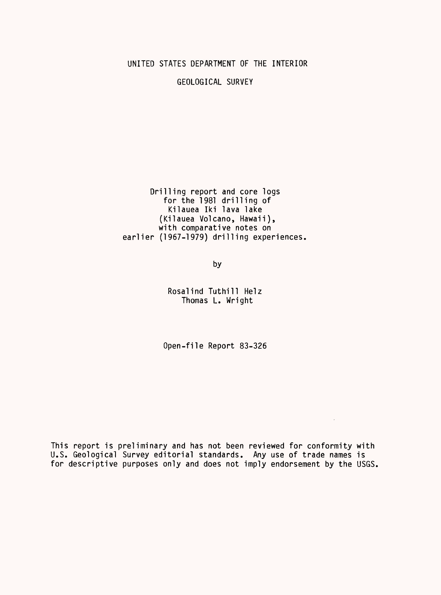#### UNITED STATES DEPARTMENT OF THE INTERIOR

GEOLOGICAL SURVEY

Drilling report and core logs for the 1981 drilling of Kilauea Iki lava lake (Kilauea Volcano, Hawaii), with comparative notes on earlier (1967-1979) drilling experiences

by

Rosalind Tuthill Helz Thomas L. Wright

Open-file Report 83-326

This report is preliminary and has not been reviewed for conformity with U.S. Geological Survey editorial standards. Any use of trade names is for descriptive purposes only and does not imply endorsement by the USGS.

 $\sim 10^{11}$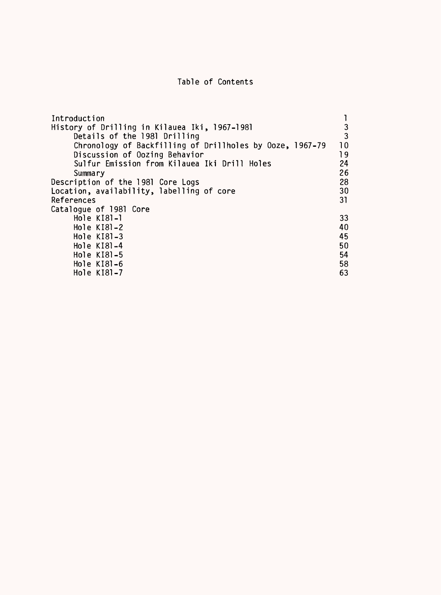## Table of Contents

| Introduction                                             |                 |
|----------------------------------------------------------|-----------------|
| History of Drilling in Kilauea Iki, 1967-1981            | 3               |
| Details of the 1981 Drilling                             | 3               |
| Chronology of Backfilling of Drillholes by Ooze, 1967-79 | 10 <sup>°</sup> |
| Discussion of Oozing Behavior                            | 19              |
| Sulfur Emission from Kilauea Iki Drill Holes             | 24              |
| Summary                                                  | 26              |
| Description of the 1981 Core Logs                        | 28              |
| Location, availability, labelling of core                | 30              |
| References                                               | 31              |
| Catalogue of 1981 Core                                   |                 |
| Hole KI81-1                                              | 33              |
| Hole $K[8]-2$                                            | 40              |
| Hole KI81-3                                              | 45              |
| Hole KI81-4                                              | 50              |
| Hole KI81-5                                              | 54              |
| Hole KI81-6                                              | 58              |
| Hole KI81-7                                              | 63              |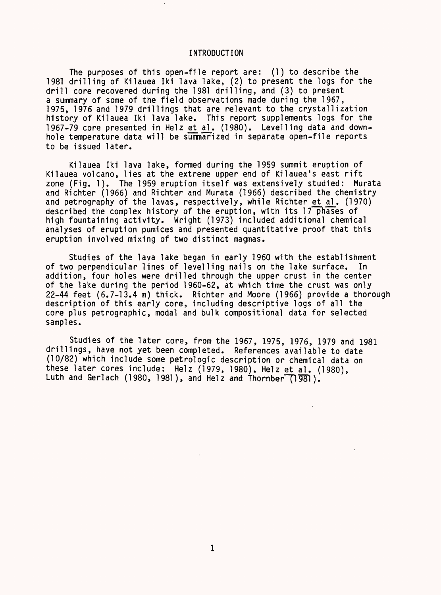#### INTRODUCTION

The purposes of this open-file report are: (1) to describe the 1981 drilling of Kilauea Iki lava lake, (2) to present the logs for the drill core recovered during the 1981 drilling, and (3) to present a summary of some of the field observations made during the 1967, 1975, 1976 and 1979 drillings that are relevant to the crystallization history of Kilauea Iki lava lake. This report supplements logs for the 1967-79 core presented in Helz et al. (1980). Levelling data and downhole temperature data will be summarized in separate open-file reports to be issued later.

Kilauea Iki lava lake, formed during the 1959 summit eruption of Kilauea volcano, lies at the extreme upper end of Kilauea's east rift zone (Fig. 1). The 1959 eruption itself was extensively studied: Murata and Richter (1966) and Richter and Murata (1966) described the chemistry and petrography of the lavas, respectively, while Richter et al. (1970) described the complex history of the eruption, with its  $17$  phases of high fountaining activity. Wright (1973) included additional chemical analyses of eruption pumices and presented quantitative proof that this eruption involved mixing of two distinct magmas.

Studies of the lava lake began in early 1960 with the establishment of two perpendicular lines of levelling nails on the lake surface. In addition, four holes were drilled through the upper crust in the center of the lake during the period 1960-62, at which time the crust was only 22-44 feet (6.7-13.4 m) thick. Richter and Moore (1966) provide a thorough description of this early core, including descriptive logs of all the core plus petrographic, modal and bulk compositional data for selected samples.

Studies of the later core, from the 1967, 1975, 1976, 1979 and 1981 drillings, have not yet been completed. References available to date (10/82) which include some petrologic description or chemical data on these later cores include: Helz (1979, 1980), Helz et al. (1980), Luth and Gerlach (1980, 1981), and Helz and Thornber (1981).

 $\mathbb{Z}^2$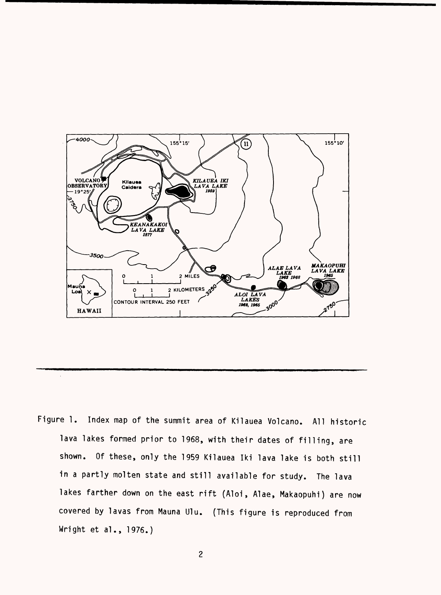

Figure 1. Index map of the summit area of Kilauea Volcano. All historic lava lakes formed prior to 1968, with their dates of filling, are shown. Of these, only the 1959 Kilauea Iki lava lake is both still in a partly molten state and still available for study. The lava lakes farther down on the east rift (Aloi, Alae, Makaopuhi) are now covered by lavas from Mauna Ulu. (This figure is reproduced from Wright et al., 1976.)

 $\sim$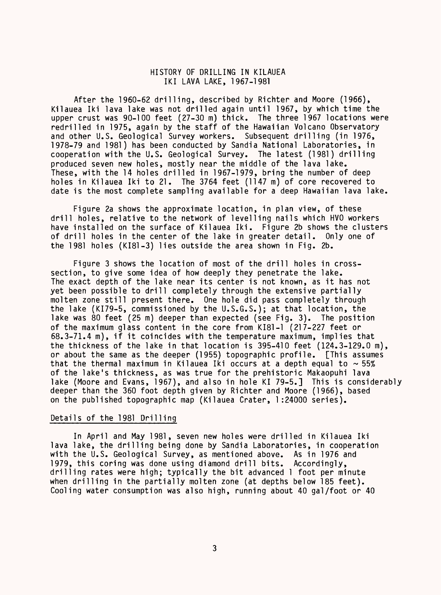#### HISTORY OF DRILLING IN KILAUEA IKI LAVA LAKE, 1967-1981

After the 1960-62 drilling, described by Richter and Moore (1966), Kilauea Iki lava lake was not drilled again until 1967, by which time the upper crust was 90-100 feet (27-30 m) thick. The three 1967 locations were redrilled in 1975, again by the staff of the Hawaiian Volcano Observatory and other U.S. Geological Survey workers. Subsequent drilling (in 1976, 1978-79 and 1981) has been conducted by Sandia National Laboratories, in cooperation with the U.S. Geological Survey. The latest (1981) drilling produced seven new holes, mostly near the middle of the lava lake. These, with the 14 holes drilled in 1967-1979, bring the number of deep holes in Kilauea Iki to 21. The 3764 feet (1147 m) of core recovered to date is the most complete sampling available for a deep Hawaiian lava lake.

Figure 2a shows the approximate location, in plan view, of these drill holes, relative to the network of levelling nails which HVO workers have installed on the surface of Kilauea Iki. Figure 2b shows the clusters of drill holes in the center of the lake in greater detail. Only one of the 1981 holes (KI81-3) lies outside the area shown in Fig. 2b.

Figure 3 shows the location of most of the drill holes in crosssection, to give some idea of how deeply they penetrate the lake. The exact depth of the lake near its center is not known, as it has not yet been possible to drill completely through the extensive partially molten zone still present there. One hole did pass completely through the lake (KI79-5, commissioned by the U.S.G.S.); at that location, the lake was 80 feet (25 m) deeper than expected (see Fig. 3). The position of the maximum glass content in the core from KI81-1 (217-227 feet or 68.3-71.4 m), if it coincides with the temperature maximum, implies that the thickness of the lake in that location is 395-410 feet (124.3-129.0 m), or about the same as the deeper (1955) topographic profile. [This assumes that the thermal maximum in Kilauea Iki occurs at a depth equal to  $\sim$  55% of the lake's thickness, as was true for the prehistoric Makaopuhi lava lake (Moore and Evans, 1967), and also in hole KI 79-5.] This is considerably deeper than the 360 foot depth given by Richter and Moore (1966), based on the published topographic map (Kilauea Crater, 1:24000 series).

#### Details of the 1981 Drilling

In April and May 1981, seven new holes were drilled in Kilauea Iki lava lake, the drilling being done by Sandia Laboratories, in cooperation with the U.S. Geological Survey, as mentioned above. As in 1976 and 1979, this coring was done using diamond drill bits. Accordingly, drilling rates were high; typically the bit advanced 1 foot per minute when drilling in the partially molten zone (at depths below 185 feet). Cooling water consumption was also high, running about 40 gal/foot or 40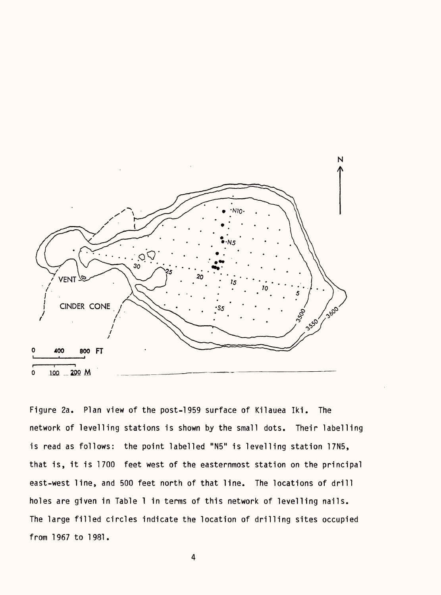

Figure 2a. Plan view of the post-1959 surface of Kilauea Iki. The network of levelling stations is shown by the small dots. Their labelling is read as follows: the point labelled "N5" is levelling station 17N5, that is, it is 1700 feet west of the easternmost station on the principal east-west line, and 500 feet north of that line. The locations of drill holes are given in Table 1 in terms of this network of levelling nails. The large filled circles indicate the location of drilling sites occupied from 1967 to 1981.

4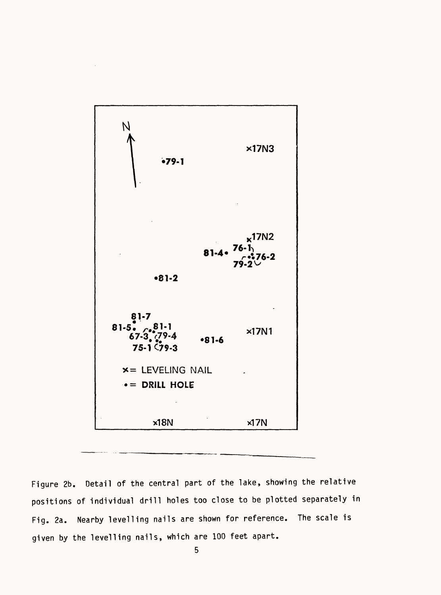

Figure 2b. Detail of the central part of the lake, showing the relative positions of individual drill holes too close to be plotted separately in Fig. 2a. Nearby levelling nails are shown for reference. The scale is given by the levelling nails, which are 100 feet apart.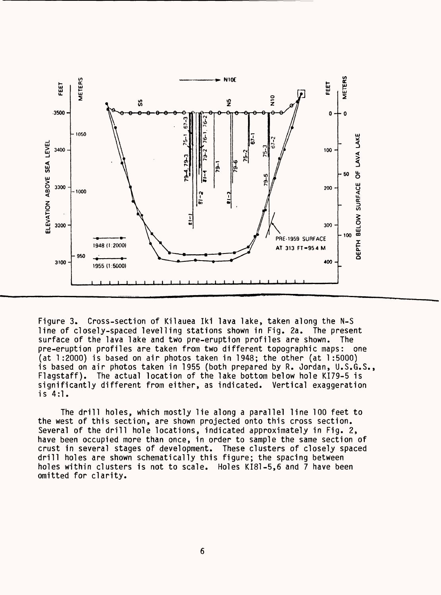

Figure 3. Cross-section of Kilauea Iki lava lake, taken along the N-S line of closely-spaced levelling stations shown in Fig. 2a. The present surface of the lava lake and two pre-eruption profiles are shown. The pre-eruption profiles are taken from two different topographic maps: one (at 1:2000) is based on air photos taken in 1948; the other (at 1:5000) is based on air photos taken in 1955 (both prepared by R. Jordan, U.S.G.S., Flagstaff). The actual location of the lake bottom below hole KI79-5 is significantly different from either, as indicated. Vertical exaggeration is 4:1.

The drill holes, which mostly lie along a parallel line 100 feet to the west of this section, are shown projected onto this cross section. Several of the drill hole locations, indicated approximately in Fig. 2, have been occupied more than once, in order to sample the same section of crust in several stages of development. These clusters of closely spaced drill holes are shown schematically this figure; the spacing between holes within clusters is not to scale. Holes KI81-5,6 and 7 have been omitted for clarity.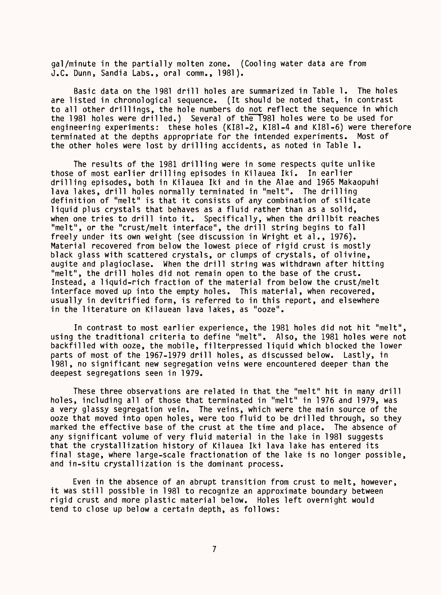gal/minute in the partially molten zone. (Cooling water data are from J.C. Dunn, Sandia Labs., oral comm., 1981).

Basic data on the 1981 drill holes are summarized in Table 1. The holes are listed in chronological sequence. (It should be noted that, in contrast to all other drillings, the hole numbers do not reflect the sequence in which the 1981 holes were drilled.) Several of the 1981 holes were to be used for engineering experiments: these holes (KI81-2, KI81-4 and KI81-6) were therefore terminated at the depths appropriate for the intended experiments. Most of the other holes were lost by drilling accidents, as noted in Table 1.

The results of the 1981 drilling were in some respects quite unlike those of most earlier drilling episodes in Kilauea Iki. In earlier drilling episodes, both in Kilauea Iki and in the Alae and 1965 Makaopuhi lava lakes, drill holes normally terminated in "melt". The drilling definition of "melt" is that it consists of any combination of silicate liquid plus crystals that behaves as a fluid rather than as a solid, when one tries to drill into it. Specifically, when the drillbit reaches "melt", or the "crust/melt interface", the drill string begins to fall freely under its own weight (see discussion in Wright et al., 1976). Material recovered from below the lowest piece of rigid crust is mostly black glass with scattered crystals, or clumps of crystals, of olivine, augite and plagioclase. When the drill string was withdrawn after hitting "melt", the drill holes did not remain open to the base of the crust. Instead, a liquid-rich fraction of the material from below the crust/melt interface moved up into the empty holes. This material, when recovered, usually in devitrified form, is referred to in this report, and elsewhere in the literature on Kilauean lava lakes, as "ooze".

In contrast to most earlier experience, the 1981 holes did not hit "melt", using the traditional criteria to define "melt". Also, the 1981 holes were not backfilled with ooze, the mobile, filterpressed liquid which blocked the lower parts of most of the 1967-1979 drill holes, as discussed below. Lastly, in 1981, no significant new segregation veins were encountered deeper than the deepest segregations seen in 1979.

These three observations are related in that the "melt" hit in many drill holes, including all of those that terminated in "melt" in 1976 and 1979, was a very glassy segregation vein. The veins, which were the main source of the ooze that moved into open holes, were too fluid to be drilled through, so they marked the effective base of the crust at the time and place. The absence of any significant volume of very fluid material in the lake in 1981 suggests that the crystallization history of Kilauea Iki lava lake has entered its final stage, where large-scale fractionation of the lake is no longer possible, and in-situ crystallization is the dominant process.

Even in the absence of an abrupt transition from crust to melt, however, it was still possible in 1981 to recognize an approximate boundary between rigid crust and more plastic material below. Holes left overnight would tend to close up below a certain depth, as follows: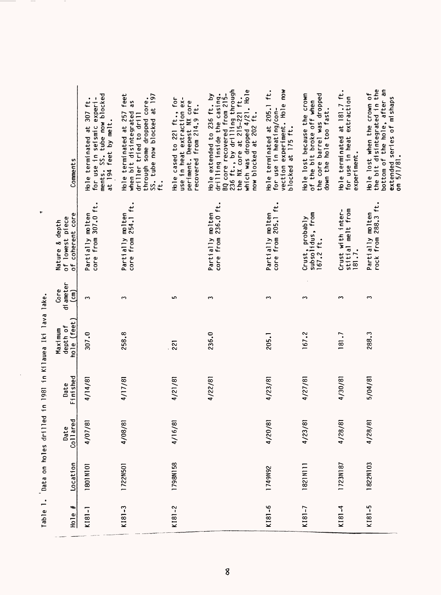| Table 1.               | Data on holes drill |                  |                  | ed in 1981 in Kilauea Iki lava lake |                                    | ٠                                                     |                                                                                                                                                                                                                                     |
|------------------------|---------------------|------------------|------------------|-------------------------------------|------------------------------------|-------------------------------------------------------|-------------------------------------------------------------------------------------------------------------------------------------------------------------------------------------------------------------------------------------|
| ٠,<br>Ho <sub>le</sub> | Location            | Collared<br>Date | Finished<br>Date | hole (feet)<br>depth of<br>Maximum  | di ameter<br>Core<br>$\widehat{E}$ | of coherent core<br>of lowest piece<br>Nature & depth | Comments                                                                                                                                                                                                                            |
| $K[8] - 1$             | 1801N101            | 4/07/81          | 4/14/81          | 307.0                               | $\mathbf{\tilde{c}}$               | core from 307.0 ft.<br>Partially molten               | ments. SS. tube now blocked<br>at 194 feet by melt.<br>for use in seismic experi-<br>Hole terminated at 307 ft                                                                                                                      |
| $K181 - 3$             | 1722N501            | 4/08/81          | 4/17/81          | 258.8                               | S                                  | core from 254.1 ft.<br>molten<br>Partially            | SS. tube now blocked at 197<br>Hole terminated at 257 feet<br>through some dropped core.<br>as<br>when bit disintegrated<br>driller tried to drill<br>$\ddot{t}$                                                                    |
| $K181 - 2$             | 1798N158            | 4/16/81          | 4/21/81          | 221                                 | ما                                 |                                                       | Hole cased to 221 ft., for<br>use in heat extraction ex-<br>periment. Deepest NX core<br>recovered from 214.9 ft.                                                                                                                   |
|                        |                     |                  | 4/22/81          | 236.0                               | ω                                  | 236.0 ft.<br>$m$ lten<br>core from<br>Partially       | BQ core recovered from 215-<br>236 ft., by drilling through<br>the NX core at 215-221 ft.<br>which was dropped 4/21. Hole<br>drilling inside the casing.<br>$\mathbf{\Sigma}$<br>Hole extended to 236 ft.<br>now blocked at 202 ft. |
| $K181 - 6$             | 1749N92             | 4/20/81          | 4/23/81          | 205.1                               | S                                  | core from 205.1 ft.<br>molten<br>Partially            | vection experiment. Hole now<br>ft.<br>Hole terminated at 205.1<br>for use in heating/con-<br>blocked at 175 ft.                                                                                                                    |
| $K181 - 7$             | 1821N111            | 4/23/81          | 4/27/81          | 167.2                               | ∾                                  | Crust, probably<br>subsolidus, from<br>167.2 ft.      | Hole lost because the crown<br>the core barrel was dropped<br>of the bit broke off when<br>down the hole too fast.                                                                                                                  |
| $K181 - 4$             | 1723N187            | 4/28/81          | 4/30/81          | 181.7                               | $\sim$                             | stitial melt from<br>Crust with inter-<br>181.7.      | Hole terminated at 181.7 ft.<br>for use in heat extraction<br>experiment.                                                                                                                                                           |
| $K181 - 5$             | 1822N103            | 4/28/81          | 5/04/81          | 288.3                               | S                                  | rock from 288.3 ft.<br>Partially molten               | the bit disintegrated in the<br>bottom of the hole, after an<br>extended series of mishaps<br>on 5/1/81.<br>Hole lost when the crown of                                                                                             |

Table 1. Data on holes drilled in 1981 in Kilauea Iki lava lake. TV1 1 in 1981 in Kil.  $1 - 11c$ ł J.  $\frac{1}{2}$ ÷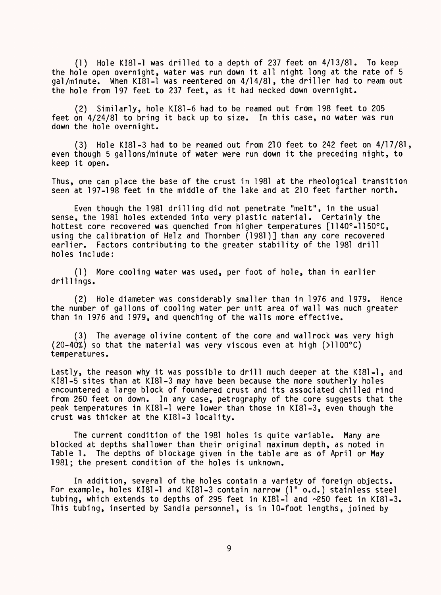(1) Hole KI81-1 was drilled to a depth of 237 feet on 4/13/81. To keep the hole open overnight, water was run down it all night long at the rate of 5 gal/minute. When KI81-1 was reentered on 4/14/81, the driller had to ream out the hole from 197 feet to 237 feet, as it had necked down overnight.

(2) Similarly, hole KI81-6 had to be reamed out from 198 feet to 205 feet on 4/24/81 to bring it back up to size. In this case, no water was run down the hole overnight.

(3) Hole KI81-3 had to be reamed out from 210 feet to 242 feet on 4/17/81, even though 5 gallons/minute of water were run down it the preceding night, to keep it open.

Thus, one can place the base of the crust in 1981 at the rheological transition seen at 197-198 feet in the middle of the lake and at 210 feet farther north.

Even though the 1981 drilling did not penetrate "melt", in the usual sense, the 1981 holes extended into very plastic material. Certainly the hottest core recovered was quenched from higher temperatures [1140°-1150°C, using the calibration of Helz and Thornber (1981)] than any core recovered earlier. Factors contributing to the greater stability of the 1981 drill holes include:

(1) More cooling water was used, per foot of hole, than in earlier drillings.

(2) Hole diameter was considerably smaller than in 1976 and 1979. Hence the number of gallons of cooling water per unit area of wall was much greater than in 1976 and 1979, and quenching of the walls more effective.

(3) The average olivine content of the core and wall rock was very high (20-40%) so that the material was very viscous even at high (>1100°C) temperatures.

Lastly, the reason why it was possible to drill much deeper at the KI81-1, and KI81-5 sites than at KI81-3 may have been because the more southerly holes encountered a large block of foundered crust and its associated chilled rind from 260 feet on down. In any case, petrography of the core suggests that the peak temperatures in KI81-1 were lower than those in KI81-3, even though the crust was thicker at the KI81-3 locality.

The current condition of the 1981 holes is quite variable. Many are blocked at depths shallower than their original maximum depth, as noted in Table 1. The depths of blockage given in the table are as of April or May 1981; the present condition of the holes is unknown.

In addition, several of the holes contain a variety of foreign objects. For example, holes KI81-1 and KI81-3 contain narrow (1" o.d.) stainless steel tubing, which extends to depths of 295 feet in KI81-1 and ~250 feet in KI81-3. This tubing, inserted by Sandia personnel, is in 10-foot lengths, joined by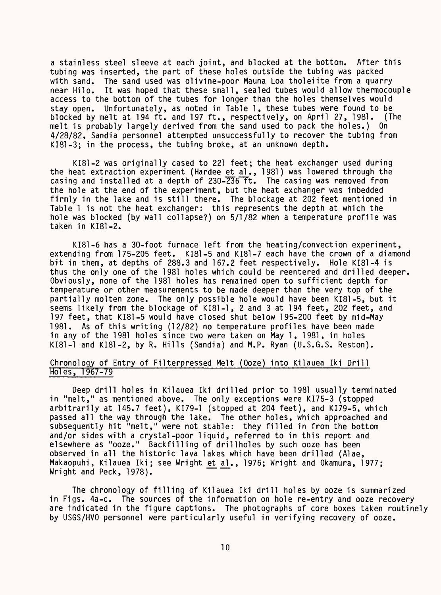a stainless steel sleeve at each joint, and blocked at the bottom. After this tubing was inserted, the part of these holes outside the tubing was packed with sand. The sand used was olivine-poor Mauna Loa tholeiite from a quarry near Hilo. It was hoped that these small, sealed tubes would allow thermocouple access to the bottom of the tubes for longer than the holes themselves would stay open. Unfortunately, as noted in Table 1, these tubes were found to be blocked by melt at 194 ft. and 197 ft., respectively, on April 27, 1981. (The melt is probably largely derived from the sand used to pack the holes.) On 4/28/82, Sandia personnel attempted unsuccessfully to recover the tubing from KI81-3; in the process, the tubing broke, at an unknown depth.

KI81-2 was originally cased to 221 feet; the heat exchanger used during the heat extraction experiment (Hardee et al., 1981) was lowered through the casing and installed at a depth of  $230-\overline{236}$  Tt. The casing was removed from the hole at the end of the experiment, but the heat exchanger was imbedded firmly in the lake and is still there. The blockage at 202 feet mentioned in Table 1 is not the heat exchanger: this represents the depth at which the hole was blocked (by wall collapse?) on 5/1/82 when a temperature profile was taken in KI81-2.

KI81-6 has a 30-foot furnace left from the heating/convection experiment, extending from 175-205 feet. KI81-5 and KI81-7 each have the crown of a diamond bit in them, at depths of 288.3 and 167.2 feet respectively. Hole KI81-4 is thus the only one of the 1981 holes which could be reentered and drilled deeper. Obviously, none of the 1981 holes has remained open to sufficient depth for temperature or other measurements to be made deeper than the very top of the partially molten zone. The only possible hole would have been KI81-5, but it seems likely from the blockage of KI81-1, 2 and 3 at 194 feet, 202 feet, and 197 feet, that KI81-5 would have closed shut below 195-200 feet by mid-May 1981. As of this writing (12/82) no temperature profiles have been made in any of the 1981 holes since two were taken on May 1, 1981, in holes KI81-1 and KI81-2, by R. Hills (Sandia) and M.P. Ryan (U.S.G.S. Reston).

#### Chronology of Entry of Filterpressed Melt (Ooze) into Kilauea Iki Drill Holes, 1967-79

Deep drill holes in Kilauea Iki drilled prior to 1981 usually terminated in "melt," as mentioned above. The only exceptions were KI75-3 (stopped arbitrarily at 145.7 feet), KI79-1 (stopped at 204 feet), and KI79-5, which passed all the way through the lake. The other holes, which approached and subsequently hit "melt," were not stable: they filled in from the bottom and/or sides with a crystal-poor liquid, referred to in this report and elsewhere as "ooze." Backfilling of drillholes by such ooze has been observed in all the historic lava lakes which have been drilled (Alae, Makaopuhi, Kilauea Iki; see Wright ^^U, 1976; Wright and Okamura, 1977; Wright and Peck, 1978).

The chronology of filling of Kilauea Iki drill holes by ooze is summarized in Figs. 4a-c. The sources of the information on hole re-entry and ooze recovery are indicated in the figure captions. The photographs of core boxes taken routinely by USGS/HVO personnel were particularly useful in verifying recovery of ooze.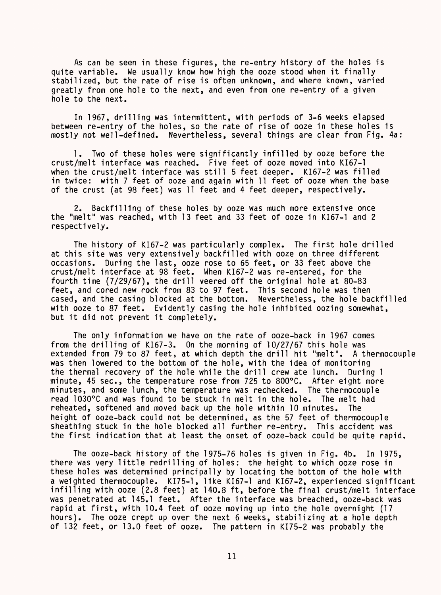As can be seen in these figures, the re-entry history of the holes is quite variable. We usually know how high the ooze stood when it finally stabilized, but the rate of rise is often unknown, and where known, varied greatly from one hole to the next, and even from one re-entry of a given hole to the next.

In 1967, drilling was intermittent, with periods of 3-6 weeks elapsed between re-entry of the holes, so the rate of rise of ooze in these holes is mostly not well-defined. Nevertheless, several things are clear from Fig. 4a:

1. Two of these holes were significantly infilled by ooze before the crust/melt interface was reached. Five feet of ooze moved into KI67-1 when the crust/melt interface was still 5 feet deeper. KI67-2 was filled in twice: with 7 feet of ooze and again with 11 feet of ooze when the base of the crust (at 98 feet) was 11 feet and 4 feet deeper, respectively.

2. Backfilling of these holes by ooze was much more extensive once the "melt" was reached, with 13 feet and 33 feet of ooze in KI67-1 and 2 respectively.

The history of KI67-2 was particularly complex. The first hole drilled at this site was very extensively backfilled with ooze on three different occasions. During the last, ooze rose to 65 feet, or 33 feet above the crust/melt interface at 98 feet. When KI67-2 was re-entered, for the fourth time (7/29/67), the drill veered off the original hole at 80-83 feet, and cored new rock from 83 to 97 feet. This second hole was then<br>cased, and the casing blocked at the bottom. Nevertheless, the hole backfilled cased, and the casing blocked at the bottom. with ooze to 87 feet. Evidently casing the hole inhibited oozing somewhat, but it did not prevent it completely.

The only information we have on the rate of ooze-back in 1967 comes from the drilling of KI67-3. On the morning of 10/27/67 this hole was extended from 79 to 87 feet, at which depth the drill hit "melt". A thermocouple was then lowered to the bottom of the hole, with the idea of monitoring the thermal recovery of the hole while the drill crew ate lunch. During 1 minute, 45 sec., the temperature rose from 725 to 800°C. After eight more minutes, and some lunch, the temperature was rechecked. The thermocouple read 1030°C and was found to be stuck in melt in the hole. The melt had reheated, softened and moved back up the hole within 10 minutes. The height of ooze-back could not be determined, as the 57 feet of thermocouple sheathing stuck in the hole blocked all further re-entry. This accident was the first indication that at least the onset of ooze-back could be quite rapid.

The ooze-back history of the 1975-76 holes is given in Fig. 4b. In 1975, there was very little redrilling of holes: the height to which ooze rose in these holes was determined principally by locating the bottom of the hole with a weighted thermocouple. KI75-1, like KI67-1 and KI67-2, experienced significant infilling with ooze (2.8 feet) at 140.8 ft, before the final crust/melt interface was penetrated at 145.1 feet. After the interface was breached, ooze-back was rapid at first, with 10.4 feet of ooze moving up into the hole overnight (17 hours). The ooze crept up over the next 6 weeks, stabilizing at a hole depth of 132 feet, or 13.0 feet of ooze. The pattern in KI75-2 was probably the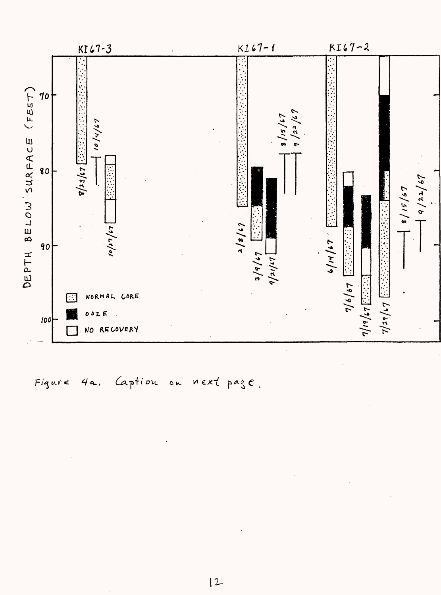

ption ou next p. Figure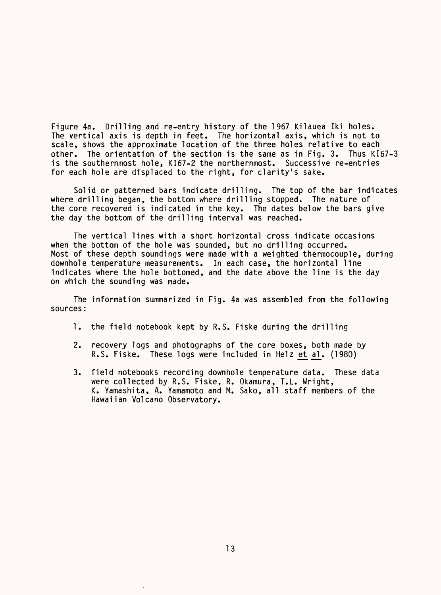Figure 4a. Drilling and re-entry history of the 1967 Kilauea Iki holes. The vertical axis is depth in feet. The horizontal axis, which is not to scale, shows the approximate location of the three holes relative to each other. The orientation of the section is the same as in Fig. 3. Thus KI67-3 is the southernmost hole, KI67-2 the northernmost. Successive re-entries for each hole are displaced to the right, for clarity's sake.

Solid or patterned bars indicate drilling. The top of the bar indicates where drilling began, the bottom where drilling stopped. The nature of the core recovered is indicated in the key. The dates below the bars give the day the bottom of the drilling interval was reached.

The vertical lines with a short horizontal cross indicate occasions when the bottom of the hole was sounded, but no drilling occurred. Most of these depth soundings were made with a weighted thermocouple, during downhole temperature measurements. In each case, the horizontal line indicates where the hole bottomed, and the date above the line is the day on which the sounding was made.

The information summarized in Fig. 4a was assembled from the following sources:

- 1. the field notebook kept by R.S. Fiske during the drilling
- 2. recovery logs and photographs of the core boxes, both made by R.S. Fiske. These logs were included in Helz et al. (1980)
- 3. field notebooks recording downhole temperature data. These data were collected by R.S. Fiske, R. Okamura, T.L. Wright, K. Yamashita, A. Yamamoto and M. Sako, all staff members of the Hawaiian Volcano Observatory.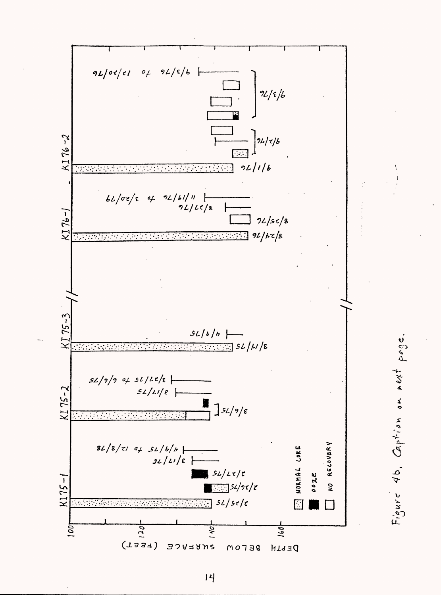

 $|4$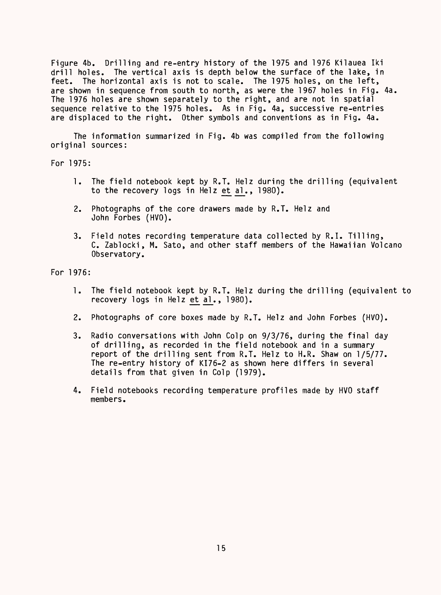Figure 4b. Drilling and re-entry history of the 1975 and 1976 Kilauea Iki drill holes. The vertical axis is depth below the surface of the lake, in feet. The horizontal axis is not to scale. The 1975 holes, on the left, are shown in sequence from south to north, as were the 1967 holes in Fig. 4a. The 1976 holes are shown separately to the right, and are not in spatial sequence relative to the 1975 holes. As in Fig. 4a, successive re-entries are displaced to the right. Other symbols and conventions as in Fig. 4a.

The information summarized in Fig. 4b was compiled from the following original sources:

For 1975:

- 1. The field notebook kept by R.T. Helz during the drilling (equivalent to the recovery logs in Helz et al., 1980).
- 2. Photographs of the core drawers made by R.T. Helz and John Forbes (HVO).
- 3. Field notes recording temperature data collected by R.I. Tilling, C. Zablocki, M. Sato, and other staff members of the Hawaiian Volcano Observatory.

For 1976:

- 1. The field notebook kept by R.T. Helz during the drilling (equivalent to recovery logs in Helz et al., 1980).
- 2. Photographs of core boxes made by R.T. Helz and John Forbes (HVO).
- 3. Radio conversations with John Colp on 9/3/76, during the final day of drilling, as recorded in the field notebook and in a summary report of the drilling sent from R.T. Helz to H.R. Shaw on 1/5/77. The re-entry history of KI76-2 as shown here differs in several details from that given in Colp (1979).
- 4. Field notebooks recording temperature profiles made by HVO staff members.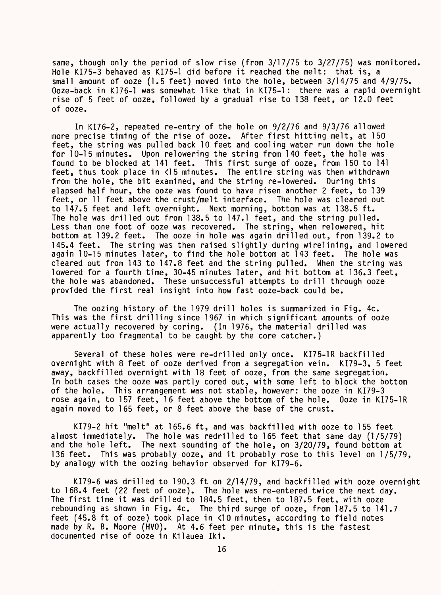same, though only the period of slow rise (from 3/17/75 to 3/27/75) was monitored. Hole KI75-3 behaved as KI75-1 did before it reached the melt: that is, a small amount of ooze (1.5 feet) moved into the hole, between 3/14/75 and 4/9/75. Ooze-back in KI76-1 was somewhat like that in KI75-1: there was a rapid overnight rise of 5 feet of ooze, followed by a gradual rise to 138 feet, or 12.0 feet of ooze.

In KI76-2, repeated re-entry of the hole on 9/2/76 and 9/3/76 allowed more precise timing of the rise of ooze. After first hitting melt, at 150 feet, the string was pulled back 10 feet and cooling water run down the hole for 10-15 minutes. Upon relowering the string from 140 feet, the hole was found to be blocked at 141 feet. This first surge of ooze, from 150 to 141 feet, thus took place in <15 minutes. The entire string was then withdrawn from the hole, the bit examined, and the string re-lowered. During this elapsed half hour, the ooze was found to have risen another 2 feet, to 139 feet, or 11 feet above the crust/melt interface. The hole was cleared out to 147.5 feet and left overnight. Next morning, bottom was at 138.5 ft. The hole was drilled out from 138.5 to 147.1 feet, and the string pulled. Less than one foot of ooze was recovered. The string, when relowered, hit bottom at 139.2 feet. The ooze in hole was again drilled out, from 139.2 to 145.4 feet. The string was then raised slightly during wirelining, and lowered again 10-15 minutes later, to find the hole bottom at 143 feet. The hole was cleared out from 143 to 147.8 feet and the string pulled. When the string was lowered for a fourth time, 30-45 minutes later, and hit bottom at 136.3 feet, the hole was abandoned. These unsuccessful attempts to drill through ooze provided the first real insight into how fast ooze-back could be.

The oozing history of the 1979 drill holes is summarized in Fig. 4c. This was the first drilling since 1967 in which significant amounts of ooze were actually recovered by coring. (In 1976, the material drilled was apparently too fragmental to be caught by the core catcher.)

Several of these holes were re-drilled only once. KI75-1R backfilled overnight with 8 feet of ooze derived from a segregation vein. KI79-3, 5 feet away, backfilled overnight with 18 feet of ooze, from the same segregation. In both cases the ooze was partly cored out, with some left to block the bottom of the hole. This arrangement was not stable, however: the ooze in KI79-3 rose again, to 157 feet, 16 feet above the bottom of the hole. Ooze in KI75-1R again moved to 165 feet, or 8 feet above the base of the crust.

KI79-2 hit "melt" at 165.6 ft, and was backfilled with ooze to 155 feet almost immediately. The hole was redrilled to 165 feet that same day (1/5/79) and the hole left. The next sounding of the hole, on 3/20/79, found bottom at The next sounding of the hole, on  $3/20/79$ , found bottom at 136 feet. This was probably ooze, and it probably rose to this level on 1/5/79, by analogy with the oozing behavior observed for KI79-6.

KI79-6 was drilled to 190.3 ft on 2/14/79, and backfilled with ooze overnight to 168.4 feet (22 feet of ooze). The hole was re-entered twice the next day. The first time it was drilled to 184.5 feet, then to 187.5 feet, with ooze rebounding as shown in Fig. 4c. The third surge of ooze, from 187.5 to 141.7 feet (45.8 ft of ooze) took place in <10 minutes, according to field notes made by R. B. Moore (HVO). At 4.6 feet per minute, this is the fastest documented rise of ooze in Kilauea Iki.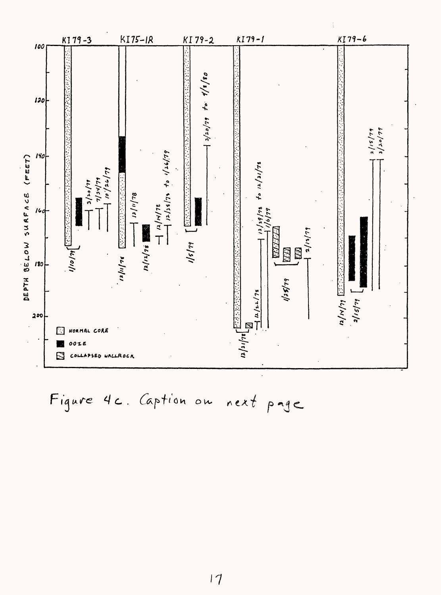

Figure 4c. Caption on next page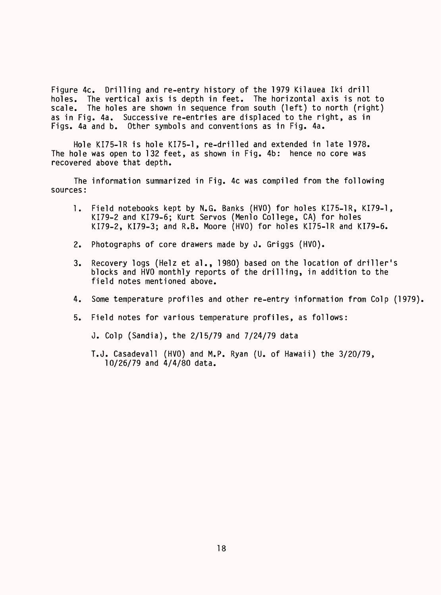Figure 4c. Drilling and re-entry history of the 1979 Kilauea Iki drill<br>holes. The vertical axis is depth in feet. The horizontal axis is not holes. The vertical axis is depth in feet. The horizontal axis is not to scale. The holes are shown in sequence from south (left) to north (right) The holes are shown in sequence from south (left) to north (right) as in Fig. 4a. Successive re-entries are displaced to the right, as in Figs. 4a and b. Other symbols and conventions as in Fig. 4a.

Hole KI75-1R is hole KI75-1, re-drilled and extended in late 1978. The hole was open to 132 feet, as shown in Fig. 4b: hence no core was recovered above that depth.

The information summarized in Fig. 4c was compiled from the following sources:

- 1. Field notebooks kept by N.G. Banks (HVO) for holes KI75-1R, KI79-1, KI79-2 and KI79-6; Kurt Servos (Menlo College, CA) for holes KI79-2, KI79-3; and R.B. Moore (HVO) for holes KI75-1R and KI79-6.
- 2. Photographs of core drawers made by J. Griggs (HVO).
- 3. Recovery logs (Helz et al., 1980) based on the location of driller's blocks and HVO monthly reports of the drilling, in addition to the field notes mentioned above.
- 4. Some temperature profiles and other re-entry information from Colp (1979).
- 5. Field notes for various temperature profiles, as follows:

J. Colp (Sandia), the 2/15/79 and 7/24/79 data

T.J. Casadevall (HVO) and M.P. Ryan (U. of Hawaii) the 3/20/79, 10/26/79 and 4/4/80 data.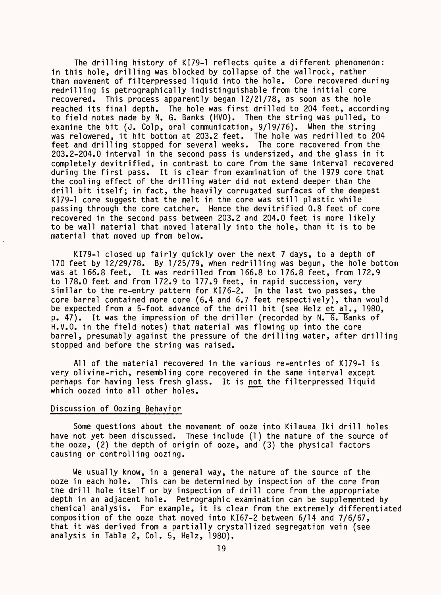The drilling history of KI79-1 reflects quite a different phenomenon: in this hole, drilling was blocked by collapse of the wallrock, rather than movement of filterpressed liquid into the hole. Core recovered during redrilling is petrographically indistinguishable from the initial core recovered. This process apparently began 12/21/78, as soon as the hole reached its final depth. The hole was first drilled to 204 feet, according to field notes made by N. G. Banks (HVO). Then the string was pulled, to examine the bit (J. Colp, oral communication, 9/19/76). When the string was relowered, it hit bottom at 203.2 feet. The hole was redrilled to 204 feet and drilling stopped for several weeks. The core recovered from the 203.2-204.0 interval in the second pass is undersized, and the glass in it completely devitrified, in contrast to core from the same interval recovered during the first pass. It is clear from examination of the 1979 core that the cooling effect of the drilling water did not extend deeper than the drill bit itself; in fact, the heavily corrugated surfaces of the deepest KI79-1 core suggest that the melt in the core was still plastic while passing through the core catcher. Hence the devitrified 0.8 feet of core recovered in the second pass between 203.2 and 204.0 feet is more likely to be wall material that moved laterally into the hole, than it is to be material that moved up from below.

KI79-1 closed up fairly quickly over the next 7 days, to a depth of 170 feet by 12/29/78. By 1/25/79, when redrilling was begun, the hole bottom was at 166.8 feet. It was redrilled from 166.8 to 176.8 feet, from 172.9 to 178,0 feet and from 172.9 to 177.9 feet, in rapid succession, very similar to the re-entry pattern for KI76-2. In the last two passes, the core barrel contained more core (6.4 and 6.7 feet respectively), than would be expected from a 5-foot advance of the drill bit (see Helz et al., 1980,  $p. 47$ ). It was the impression of the driller (recorded by N.  $G.$  Banks of H.V.O. in the field notes) that material was flowing up into the core barrel, presumably against the pressure of the drilling water, after drilling stopped and before the string was raised.

All of the material recovered in the various re-entries of KI79-1 is very oil vine-rich, resembling core recovered in the same interval except perhaps for having less fresh glass. It is not the filterpressed liquid which oozed into all other holes.

#### Discussion of Oozing Behavior

Some questions about the movement of ooze into Kilauea Iki drill holes have not yet been discussed. These include (1) the nature of the source of the ooze, (2) the depth of origin of ooze, and (3) the physical factors causing or controlling oozing.

We usually know, in a general way, the nature of the source of the ooze in each hole. This can be determined by inspection of the core from the drill hole itself or by inspection of drill core from the appropriate depth in an adjacent hole. Petrographic examination can be supplemented by chemical analysis. For example, it is clear from the extremely differentiated composition of the ooze that moved into KI67-2 between 6/14 and 7/6/67, that it was derived from a partially crystallized segregation vein (see analysis in Table 2, Col. 5, Helz, 1980).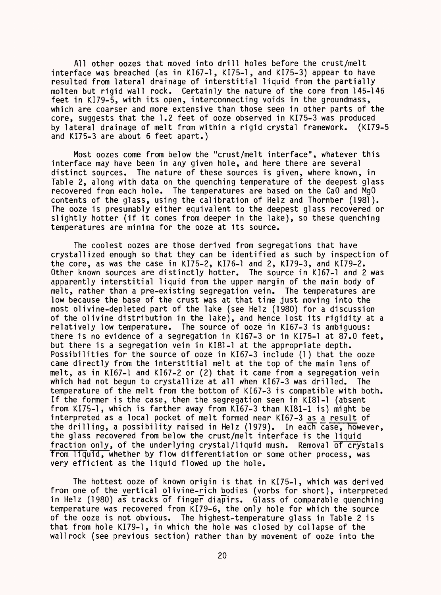All other oozes that moved into drill holes before the crust/melt interface was breached (as in KI67-1, KI75-1, and KI75-3) appear to have resulted from lateral drainage of interstitial liquid from the partially molten but rigid wall rock. Certainly the nature of the core from 145-146 feet in KI79-5, with its open, interconnecting voids in the groundmass, which are coarser and more extensive than those seen in other parts of the core, suggests that the 1.2 feet of ooze observed in KI75-3 was produced by lateral drainage of melt from within a rigid crystal framework. (KI79-5 and KI75-3 are about 6 feet apart.)

Most oozes come from below the "crust/melt interface", whatever this interface may have been in any given hole, and here there are several distinct sources. The nature of these sources is given, where known, in Table 2, along with data on the quenching temperature of the deepest glass recovered from each hole. The temperatures are based on the CaO and MgO contents of the glass, using the calibration of Helz and Thornber (1981). The ooze is presumably either equivalent to the deepest glass recovered or slightly hotter (if it comes from deeper in the lake), so these quenching temperatures are minima for the ooze at its source.

The coolest oozes are those derived from segregations that have crystallized enough so that they can be identified as such by inspection of the core, as was the case in KI75-2, KI76-1 and 2, KI79-3, and KI79-2. Other known sources are distinctly hotter. The source in KI67-1 and 2 was apparently interstitial liquid from the upper margin of the main body of melt, rather than a pre-existing segregation vein. The temperatures are low because the base of the crust was at that time just moving into the most olivine-depleted part of the lake (see Helz (1980) for a discussion of the olivine distribution in the lake), and hence lost its rigidity at a relatively low temperature. The source of ooze in KI67-3 is ambiguous: there is no evidence of a segregation in KI67-3 or in KI75-1 at 87.0 feet, but there is a segregation vein in KI81-1 at the appropriate depth. Possibilities for the source of ooze in KI67-3 include (1) that the ooze came directly from the interstitial melt at the top of the main lens of melt, as in KI67-1 and KI67-2 or (2) that it came from a segregation vein which had not begun to crystallize at all when KI67-3 was drilled. The temperature of the melt from the bottom of KI67-3 is compatible with both. If the former is the case, then the segregation seen in KI81-1 (absent from KI75-1, which is farther away from KI67-3 than KI81-1 is) might be interpreted as a local pocket of melt formed near KI67-3 as a result of the drilling, a possibility raised in Helz (1979). In each  $\overline{case}$ , however, the glass recovered from below the crust/melt interface is the liquid fraction only, of the underlying crystal/liquid mush. Removal of crystals from liquid, whether by flow differentiation or some other process, was very efficient as the liquid flowed up the hole.

The hottest ooze of known origin is that in KI75-1, which was derived from one of the vertical olivine-rich bodies (vorbs for short), interpreted in Helz (1980) as tracks of finger diapirs. Glass of comparable quenching temperature was recovered from KI79-6, the only hole for which the source of the ooze is not obvious. The highest-temperature glass in Table 2 is that from hole KI79-1, in which the hole was closed by collapse of the wall rock (see previous section) rather than by movement of ooze into the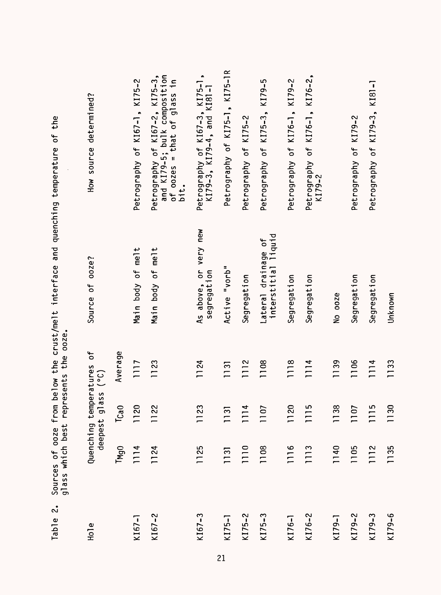| $\mathbf{C}$<br>Table | glass which best represents the ooze.<br>Sources of ooze from |                                     |              | below the crust/melt interface and quenching temperature of the |                                                                                                       |
|-----------------------|---------------------------------------------------------------|-------------------------------------|--------------|-----------------------------------------------------------------|-------------------------------------------------------------------------------------------------------|
| $H0$ le               |                                                               | deepest glass (°C)<br>Quenching tem | peratures of | ooze?<br>Source of                                              | How source determined?                                                                                |
|                       | TMgO                                                          | $T_{Ca0}$                           | Average      |                                                                 |                                                                                                       |
| $K167 - 1$            | 1114                                                          | 1120                                | 1117         | Main body of melt                                               | Petrography of KI67-1, KI75-2                                                                         |
| $K167 - 2$            | 1124                                                          | 1122                                | 1123         | Main body of melt                                               | Petrography of KI67–2, KI75–3,<br>and KI79–5; bulk composition<br>of oozes = that of glass in<br>bit. |
| $K167 - 3$            | 1125                                                          | 1123                                | 1124         | As above, or very new<br>segregation                            | Petrography of K167-3, K175-1,<br>K179-3, K179-4, and K181-1                                          |
| $K175 - 1$            | 1131                                                          | 1131                                | 1131         | Active "vorb"                                                   | Petrography of KI75-1, KI75-1R                                                                        |
| $K175 - 2$            | 1110                                                          | 1114                                | 1112         | Segregation                                                     | Petrography of KI75-2                                                                                 |
| $K175 - 3$            | 1108                                                          | 1107                                | 1108         | interstitial liquid<br>Lateral drainage of                      | Petrography of KI75-3, KI79-5                                                                         |
| $K176 -$              | 1116                                                          | 1120                                | 1118         | Segregation                                                     | Petrography of KI76-1, KI79-2                                                                         |
| $K176 - 2$            | 1113                                                          | 1115                                | 1114         | Segregation                                                     | Petrography of KI76-1, KI76-2,<br>$K179 - 2$                                                          |
| KI79-1                | 1140                                                          | 1138                                | 1139         | No ooze                                                         |                                                                                                       |
| $K179 - 2$            | 1105                                                          | 1107                                | 1106         | Segregation                                                     | Petrography of KI79-2                                                                                 |
| $K179-3$              | 1112                                                          | 1115                                | 1114         | Segregation                                                     | Petrography of KI79-3, KI81-1                                                                         |
| $K179 - 6$            | 1135                                                          | 1130                                | 1133         | Unknown                                                         |                                                                                                       |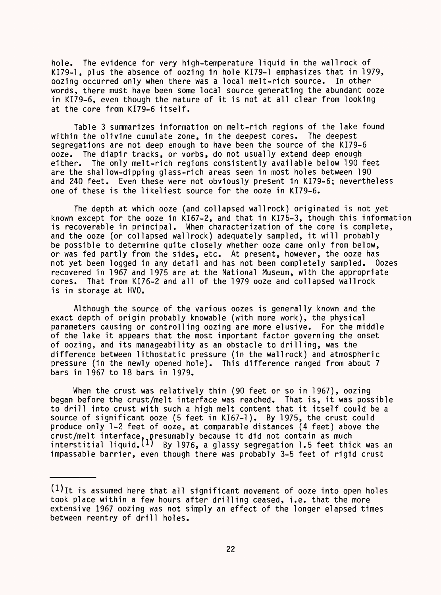hole. The evidence for very high-temperature liquid in the wallrock of KI79-1, plus the absence of oozing in hole KI79-1 emphasizes that in 1979, oozing occurred only when there was a local melt-rich source. In other words, there must have been some local source generating the abundant ooze in KI79-6, even though the nature of it is not at all clear from looking at the core from KI79-6 itself.

Table 3 summarizes information on melt-rich regions of the lake found within the olivine cumulate zone, in the deepest cores. The deepest segregations are not deep enough to have been the source of the KI79-6 ooze. The diapir tracks, or vorbs, do not usually extend deep enough either. The only melt-rich regions consistently available below 190 feet are the shallow-dipping glass-rich areas seen in most holes between 190 and 240 feet. Even these were not obviously present in KI79-6; nevertheless one of these is the likeliest source for the ooze in KI79-6.

The depth at which ooze (and collapsed wall rock) originated is not yet known except for the ooze in KI67-2, and that in KI75-3, though this information is recoverable in principal. When characterization of the core is complete, and the ooze (or collapsed wallrock) adequately sampled, it will probably be possible to determine quite closely whether ooze came only from below, or was fed partly from the sides, etc. At present, however, the ooze has not yet been logged in any detail and has not been completely sampled. Oozes recovered in 1967 and 1975 are at the National Museum, with the appropriate cores. That from KI76-2 and all of the 1979 ooze and collapsed wallrock is in storage at HVO.

Although the source of the various oozes is generally known and the exact depth of origin probably knowable (with more work), the physical parameters causing or controlling oozing are more elusive. For the middle of the lake it appears that the most important factor governing the onset of oozing, and its manageability as an obstacle to drilling, was the difference between lithostatic pressure (in the wallrock) and atmospheric pressure (in the newly opened hole). This difference ranged from about 7 bars in 1967 to 18 bars in 1979.

When the crust was relatively thin (90 feet or so in 1967), oozing began before the crust/melt interface was reached. That is, it was possible to drill into crust with such a high melt content that it itself could be a source of significant ooze (5 feet in KI67-1). By 1975, the crust could produce only 1-2 feet of ooze, at comparable distances (4 feet) above the crust/melt interface, presumably because it did not contain as much interstitial liquid.<sup>(1)</sup> By 1976, a glassy segregation 1.5 feet thick was an impassable barrier, even though there was probably 3-5 feet of rigid crust

 $(1)$ It is assumed here that all significant movement of ooze into open holes took place within a few hours after drilling ceased, i.e. that the more extensive 1967 oozing was not simply an effect of the longer elapsed times between reentry of drill holes.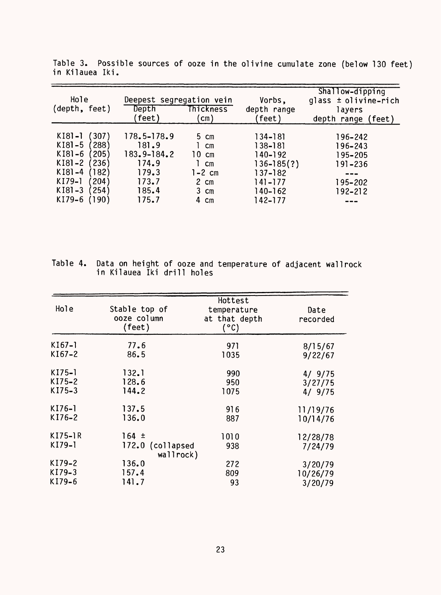| Hole<br>(depth, feet)                                                                                                                                                    | Deepest segregation vein<br>Depth<br>feet)                                           | Thickness<br>$\mathsf{cm})$                                                                                                          | Vorbs,<br>depth range<br>(feet)                                                                     | Shallow-dipping<br>glass $\pm$ olivine-rich<br>layers<br>depth range<br>(feet) |
|--------------------------------------------------------------------------------------------------------------------------------------------------------------------------|--------------------------------------------------------------------------------------|--------------------------------------------------------------------------------------------------------------------------------------|-----------------------------------------------------------------------------------------------------|--------------------------------------------------------------------------------|
| $K[8] - ]$<br>307)<br>$K[8]-5$<br>288)<br>$K[8]-6$<br>$^{\prime}$ 205)<br>236)<br>$K[8]-2$<br>$K[8]-4$<br>182)<br>KI79-1<br>204)<br>$K[8] - 3$<br>254)<br>KI79-6<br>190) | $178.5 - 178.9$<br>181.9<br>183.9-184.2<br>174.9<br>179.3<br>173.7<br>185.4<br>175.7 | $5 \text{ cm}$<br>$\mathsf{cm}$<br>10.<br>$\mathsf{cm}$<br>$\mathsf{cm}$<br>$1-2$ cm<br>2 cm<br>$3 \text{ cm}$<br>4<br>$\mathsf{cm}$ | 134–181<br>138-181<br>140-192<br>$136 - 185(?)$<br>$137 - 182$<br>$141 - 177$<br>140-162<br>142–177 | 196–242<br>196-243<br>195–205<br>191-236<br>195-202<br>$192 - 212$             |

Table 3. Possible sources of ooze in the olivine cumulate zone (below 130 feet) in Kilauea Iki.

lable 4. Data on height of ooze and temperature of adjacent wallrock in Kilauea Iki drill holes

| Hole      | Stable top of<br>ooze column<br>(feet) | Hottest<br>temperature<br>at that depth<br>(°C) | Date<br>recorded |
|-----------|----------------------------------------|-------------------------------------------------|------------------|
| $K[67-]$  | 77.6                                   | 971                                             | 8/15/67          |
| KI67-2    | 86.5                                   | 1035                                            | 9/22/67          |
| $K175-1$  | 132.1                                  | 990                                             | 4/9/75           |
| $KI75-2$  | 128.6                                  | 950                                             | 3/27/75          |
| KI75-3    | 144.2                                  | 1075                                            | 4/9/75           |
| $KI76-1$  | 137.5                                  | 916                                             | 11/19/76         |
| KI76-2    | 136.0                                  | 887                                             | 10/14/76         |
| $KI75-1R$ | $164 \pm$                              | 1010                                            | 12/28/78         |
| KI79-1    | 172.0 (collapsed<br>wallrock)          | 938                                             | 7/24/79          |
| KI79-2    | 136.0                                  | 272                                             | 3/20/79          |
| KI79-3    | 157.4                                  | 809                                             | 10/26/79         |
| KI79-6    | 141.7                                  | 93                                              | 3/20/79          |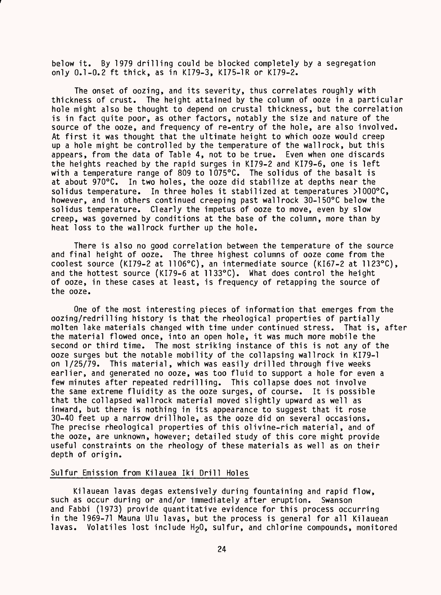below it. By 1979 drilling could be blocked completely by a segregation only 0.1-0.2 ft thick, as in KI79-3, KI75-1R or KI79-2.

The onset of oozing, and its severity, thus correlates roughly with thickness of crust. The height attained by the column of ooze in a particular hole might also be thought to depend on crustal thickness, but the correlation is in fact quite poor, as other factors, notably the size and nature of the source of the ooze, and frequency of re-entry of the hole, are also involved. At first it was thought that the ultimate height to which ooze would creep up a hole might be controlled by the temperature of the wall rock, but this appears, from the data of Table 4, not to be true. Even when one discards the heights reached by the rapid surges in KI79-2 and KI79-6, one is left with a temperature range of 809 to 1075°C. The solidus of the basalt is at about 970°C. In two holes, the ooze did stabilize at depths near the solidus temperature. In three holes it stabilized at temperatures >1000°C, however, and in others continued creeping past wall rock 30-150°C below the solidus temperature. Clearly the impetus of ooze to move, even by slow creep, was governed by conditions at the base of the column, more than by heat loss to the wallrock further up the hole.

There is also no good correlation between the temperature of the source and final height of ooze. The three highest columns of ooze come from the coolest source (KI79-2 at 1106°C), an intermediate source (KI67-2 at 1123°C), and the hottest source (KI79-6 at 1133°C). What does control the height of ooze, in these cases at least, is frequency of retapping the source of the ooze.

One of the most interesting pieces of information that emerges from the oozing/redrilling history is that the rheological properties of partially molten lake materials changed with time under continued stress. That is, after the material flowed once, into an open hole, it was much more mobile the second or third time. The most striking instance of this is not any of the ooze surges but the notable mobility of the collapsing wallrock in KI79-1 on 1/25/79. This material, which was easily drilled through five weeks earlier, and generated no ooze, was too fluid to support a hole for even a few minutes after repeated redrilling. This collapse does not involve the same extreme fluidity as the ooze surges, of course. It is possible that the collapsed wallrock material moved slightly upward as well as inward, but there is nothing in its appearance to suggest that it rose 30-40 feet up a narrow drillhole, as the ooze did on several occasions. The precise rheological properties of this olivine-rich material, and of the ooze, are unknown, however; detailed study of this core might provide useful constraints on the rheology of these materials as well as on their depth of origin.

#### Sulfur Emission from Kilauea Iki Drill Holes

Kilauean lavas degas extensively during fountaining and rapid flow, such as occur during or and/or immediately after eruption. Swanson and Fabbi (1973) provide quantitative evidence for this process occurring in the 1969-71 Mauna Ulu lavas, but the process is general for all Kilauean lavas. Volatiles lost include H<sub>2</sub>O, sulfur, and chlorine compounds, monitored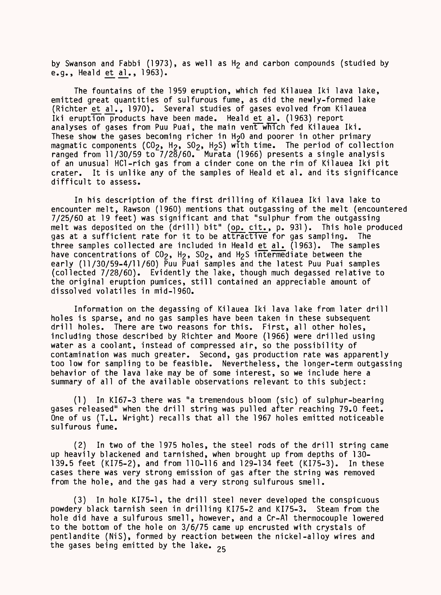by Swanson and Fabbi (1973), as well as H<sub>2</sub> and carbon compounds (studied by e.g., Heald et al., 1963).

The fountains of the 1959 eruption, which fed Kilauea Iki lava lake, emitted great quantities of sulfurous fume, as did the newly-formed lake (Richter et al., 1970). Several studies of gases evolved from Kilauea Iki eruption products have been made. Heald et\_al. (1963) report analyses of gases from Puu Puai, the main vent which fed Kilauea Iki. These show the gases becoming richer in  $H_2O$  and poorer in other primary magmatic components ( $CO_2$ ,  $H_2$ ,  $SO_2$ ,  $H_2S$ ) with time. The period of collection ranged from 11/30/59 to 7/28/60. Murata (1966) presents a single analysis of an unusual HCl-rich gas from a cinder cone on the rim of Kilauea Iki pit crater. It is unlike any of the samples of Heald et al. and its significance difficult to assess.

In his description of the first drilling of Kilauea Iki lava lake to encounter melt, Rawson (1960) mentions that outgassing of the melt (encountered 7/25/60 at 19 feet) was significant and that "sulphur from the outgassing melt was deposited on the (drill) bit" (op. cit., p. 931). This hole produced gas at a sufficient rate for it to be attractive for gas sampling. The three samples collected are included in Heald et al. (1963). The samples have concentrations of  $C0<sub>2</sub>$ , H<sub>2</sub>, S<sub>0</sub><sub>2</sub>, and H<sub>2</sub>S intermediate between the early (11/30/59-4/11/60) Puu Puai samples and the latest Puu Puai samples (collected 7/28/60). Evidently the lake, though much degassed relative to the original eruption pumices, still contained an appreciable amount of dissolved volatiles in mid-1960.

Information on the degassing of Kilauea Iki lava lake from later drill holes is sparse, and no gas samples have been taken in these subsequent drill holes. There are two reasons for this. First, all other holes, including those described by Richter and Moore (1966) were drilled using water as a coolant, instead of compressed air, so the possibility of contamination was much greater. Second, gas production rate was apparently too low for sampling to be feasible. Nevertheless, the longer-term outgassing behavior of the lava lake may be of some interest, so we include here a summary of all of the available observations relevant to this subject:

(1) In KI67-3 there was "a tremendous bloom (sic) of sulphur-bearing gases released" when the drill string was pulled after reaching 79.0 feet. One of us (T.L. Wright) recalls that all the 1967 holes emitted noticeable sulfurous fume.

(2) In two of the 1975 holes, the steel rods of the drill string came up heavily blackened and tarnished, when brought up from depths of 130- 139.5 feet (KI75-2), and from 110-116 and 129-134 feet (KI75-3). In these cases there was very strong emission of gas after the string was removed from the hole, and the gas had a very strong sulfurous smell.

(3) In hole KI75-1, the drill steel never developed the conspicuous powdery black tarnish seen in drilling KI75-2 and KI75-3. Steam from the hole did have a sulfurous smell, however, and a Cr-Al thermocouple lowered to the bottom of the hole on 3/6/75 came up encrusted with crystals of pentlandite (NiS), formed by reaction between the nickel-alloy wires and the gases being emitted by the lake.  $25$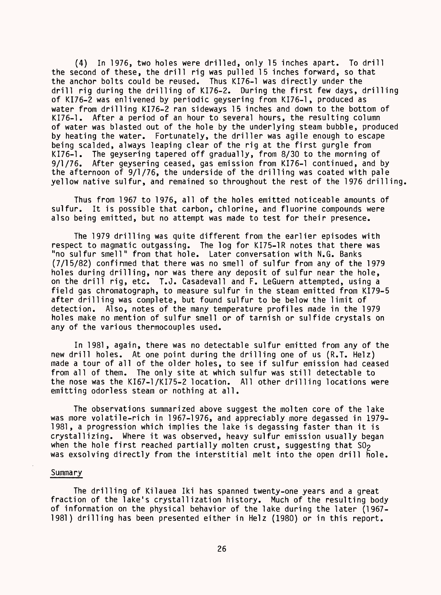(4) In 1976, two holes were drilled, only 15 inches apart. To drill the second of these, the drill rig was pulled 15 inches forward, so that the anchor bolts could be reused. Thus KI76-1 was directly under the drill rig during the drilling of KI76-2. During the first few days, drilling of KI76-2 was enlivened by periodic geysering from KI76-1, produced as water from drilling KI76-2 ran sideways 15 inches and down to the bottom of KI76-1. After a period of an hour to several hours, the resulting column of water was blasted out of the hole by the underlying steam bubble, produced by heating the water. Fortunately, the driller was agile enough to escape being scalded, always leaping clear of the rig at the first gurgle from KI76-1. The geysering tapered off gradually, from 8/30 to the morning of 9/1/76. After geysering ceased, gas emission from KI76-1 continued, and by the afternoon of 9/1/76, the underside of the drilling was coated with pale yellow native sulfur, and remained so throughout the rest of the 1976 drilling,

Thus from 1967 to 1976, all of the holes emitted noticeable amounts of sulfur. It is possible that carbon, chlorine, and fluorine compounds were also being emitted, but no attempt was made to test for their presence.

The 1979 drilling was quite different from the earlier episodes with respect to magmatic outgassing. The log for KI75-1R notes that there was "no sulfur smell" from that hole. Later conversation with N.G. Banks (7/15/82) confirmed that there was no smell of sulfur from any of the 1979 holes during drilling, nor was there any deposit of sulfur near the hole, on the drill rig, etc. T.J. Casadevall and F. LeGuern attempted, using a field gas chromatograph, to measure sulfur in the steam emitted from KI79-5 after drilling was complete, but found sulfur to be below the limit of detection. Also, notes of the many temperature profiles made in the 1979 holes make no mention of sulfur smell or of tarnish or sulfide crystals on any of the various thermocouples used.

In 1981, again, there was no detectable sulfur emitted from any of the new drill holes. At one point during the drilling one of us (R.T. Helz) made a tour of all of the older holes, to see if sulfur emission had ceased from all of them. The only site at which sulfur was still detectable to the nose was the KI67-1/KI75-2 location. All other drilling locations were emitting odorless steam or nothing at all.

The observations summarized above suggest the molten core of the lake was more volatile-rich in 1967-1976, and appreciably more degassed in 1979- 1981, a progression which implies the lake is degassing faster than it is crystallizing. Where it was observed, heavy sulfur emission usually began when the hole first reached partially molten crust, suggesting that  $SO_2$ was exsolving directly from the interstitial melt into the open drill hole.

#### Summary

The drilling of Kilauea Iki has spanned twenty-one years and a great fraction of the lake's crystallization history. Much of the resulting body of information on the physical behavior of the lake during the later (1967- 1981) drilling has been presented either in Helz (1980) or in this report.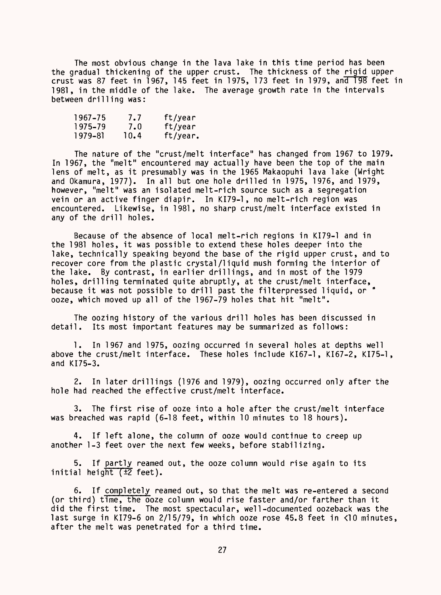The most obvious change in the lava lake in this time period has been the gradual thickening of the upper crust. The thickness of the rigid upper crust was 87 feet in 1967, 145 feet in 1975, 173 feet in 1979, and 198 feet in 1981, in the middle of the lake. The average growth rate in the intervals between drilling was:

| 1967–75 | 7.7  | ft/year  |
|---------|------|----------|
| 1975–79 | 7.0  | ft/year  |
| 1979-81 | 10.4 | ft/year. |

The nature of the "crust/melt interface" has changed from 1967 to 1979. In 1967, the "melt" encountered may actually have been the top of the main lens of melt, as it presumably was in the 1965 Makaopuhi lava lake (Wright and Okamura, 1977). In all but one hole drilled in 1975, 1976, and 1979, however, "melt" was an isolated melt-rich source such as a segregation vein or an active finger diapir. In KI79-1, no melt-rich region was encountered. Likewise, in 1981, no sharp crust/melt interface existed in any of the drill holes.

Because of the absence of local melt-rich regions in KI79-1 and in the 1981 holes, it was possible to extend these holes deeper into the lake, technically speaking beyond the base of the rigid upper crust, and to recover core from the plastic crystal/liquid mush forming the interior of the lake. By contrast, in earlier drillings, and in most of the 1979 holes, drilling terminated quite abruptly, at the crust/melt interface, because it was not possible to drill past the filterpressed liquid, or \* ooze, which moved up all of the 1967-79 holes that hit "melt".

The oozing history of the various drill holes has been discussed in detail. Its most important features may be summarized as follows:

1. In 1967 and 1975, oozing occurred in several holes at depths well above the crust/melt interface. These holes include KI67-1, KI67-2, KI75-1, and KI75-3.

2. In later drillings (1976 and 1979), oozing occurred only after the hole had reached the effective crust/melt interface.

3. The first rise of ooze into a hole after the crust/melt interface was breached was rapid (6-18 feet, within 10 minutes to 18 hours).

4. If left alone, the column of ooze would continue to creep up another 1-3 feet over the next few weeks, before stabilizing.

5. If partly reamed out, the ooze column would rise again to its initial height  $(\pm 2$  feet).

6. If completely reamed out, so that the melt was re-entered a second (or third) time, the ooze column would rise faster and/or farther than it did the first time. The most spectacular, well-documented oozeback was the last surge in KI79-6 on 2/15/79, in which ooze rose 45.8 feet in <10 minutes, after the melt was penetrated for a third time.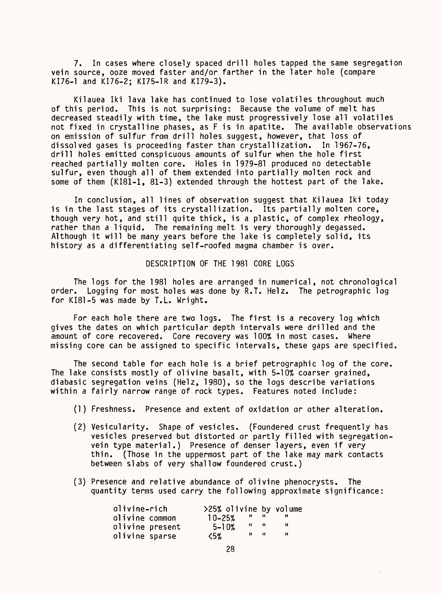7. In cases where closely spaced drill holes tapped the same segregation vein source, ooze moved faster and/or farther in the later hole (compare KI76-1 and KI76-2; KI75-1R and KI79-3).

Kilauea Iki lava lake has continued to lose volatiles throughout much of this period. This is not surprising: Because the volume of melt has decreased steadily with time, the lake must progressively lose all volatiles not fixed in crystalline phases, as F is in apatite. The available observations on emission of sulfur from drill holes suggest, however, that loss of dissolved gases is proceeding faster than crystallization. In 1967-76, drill holes emitted conspicuous amounts of sulfur when the hole first reached partially molten core. Holes in 1979-81 produced no detectable sulfur, even though all of them extended into partially molten rock and some of them (KI81-1, 81-3) extended through the hottest part of the lake.

In conclusion, all lines of observation suggest that Kilauea Iki today is in the last stages of its crystallization. Its partially molten core, though very hot, and still quite thick, is a plastic, of complex rheology, rather than a liquid. The remaining melt is very thoroughly degassed. Although it will be many years before the lake is completely solid, its history as a differentiating self-roofed magma chamber is over.

#### DESCRIPTION OF THE 1981 CORE LOGS

The logs for the 1981 holes are arranged in numerical, not chronological order. Logging for most holes was done by R.T. Helz. The petrographic log for KI81-5 was made by T.L. Wright.

For each hole there are two logs. The first is a recovery log which gives the dates on which particular depth intervals were drilled and the amount of core recovered. Core recovery was 100% in most cases. Where missing core can be assigned to specific intervals, these gaps are specified.

The second table for each hole is a brief petrographic log of the core. The lake consists mostly of olivine basalt, with 5-10% coarser grained, diabasic segregation veins (Helz, 1980), so the logs describe variations within a fairly narrow range of rock types. Features noted include:

- (1) Freshness. Presence and extent of oxidation or other alteration.
- (2) Vesicularity. Shape of vesicles. (Foundered crust frequently has vesicles preserved but distorted or partly filled with segregationvein type material.) Presence of denser layers, even if very thin. (Those in the uppermost part of the lake may mark contacts between slabs of very shallow foundered crust.)
- (3) Presence and relative abundance of olivine phenocrysts. The quantity terms used carry the following approximate significance:

| olivine-rich    | >25% olivine by volume |          |      |  |
|-----------------|------------------------|----------|------|--|
| olivine common  | $10 - 25%$             | ,,,      |      |  |
| olivine present | $5 - 10%$              | -11 - 11 |      |  |
| olivine sparse  | く5%                    |          | - 11 |  |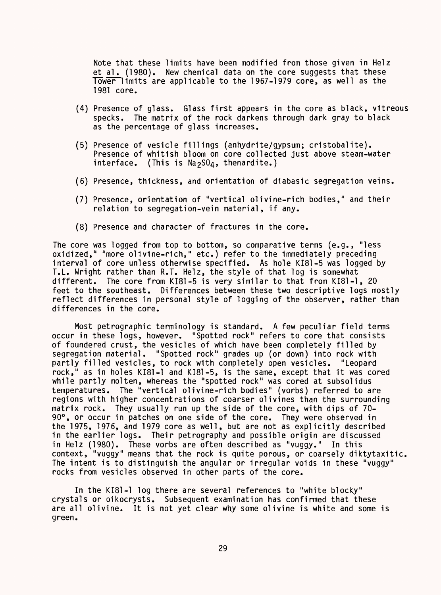Note that these limits have been modified from those given in Helz et al. (1980). New chemical data on the core suggests that these Tower limits are applicable to the 1967-1979 core, as well as the 1981 core.

- (4) Presence of glass. Glass first appears in the core as black, vitreous specks. The matrix of the rock darkens through dark gray to black as the percentage of glass increases.
- (5) Presence of vesicle fillings (anhydrite/gypsum; cristobalite). Presence of whitish bloom on core collected just above steam-water interface. (This is N32S04, thenardite.)
- (6) Presence, thickness, and orientation of diabasic segregation veins.
- (7) Presence, orientation of "vertical olivine-rich bodies," and their relation to segregation-vein material, if any.
- (8) Presence and character of fractures in the core.

The core was logged from top to bottom, so comparative terms (e.g., "less The core was logged from top to bottom, so comparative terms (e.g., "less<br>oxidized," "more olivine-rich," etc.) refer to the immediately preceding interval of core unless otherwise specified. As hole KI81-5 was logged by T.L. Wright rather than R.T. Helz, the style of that log is somewhat different. The core from KI81-5 is very similar to that from KI81-1, 20 feet to the southeast. Differences between these two descriptive logs mostly reflect differences in personal style of logging of the observer, rather than differences in the core.

Most petrographic terminology is standard. A few peculiar field terms occur in these logs, however. "Spotted rock" refers to core that consists of foundered crust, the vesicles of which have been completely filled by segregation material. "Spotted rock" grades up (or down) into rock with partly filled vesicles, to rock with completely open vesicles. "Leopard rock," as in holes KI81-1 and KI81-5, is the same, except that it was cored while partly molten, whereas the "spotted rock" was cored at subsolidus temperatures. The "vertical olivine-rich bodies" (vorbs) referred to are regions with higher concentrations of coarser olivines than the surrounding matrix rock. They usually run up the side of the core, with dips of 70- 90°, or occur in patches on one side of the core. They were observed in the 1975, 1976, and 1979 core as well, but are not as explicitly described in the earlier logs. Their petrography and possible origin are discussed in Helz (1980). These vorbs are often described as "vuggy." In this context, "vuggy" means that the rock is quite porous, or coarsely diktytaxitic. The intent is to distinguish the angular or irregular voids in these "vuggy" rocks from vesicles observed in other parts of the core.

In the KI81-1 log there are several references to "white blocky" crystals or oikocrysts. Subsequent examination has confirmed that these are all olivine. It is not yet clear why some olivine is white and some is green.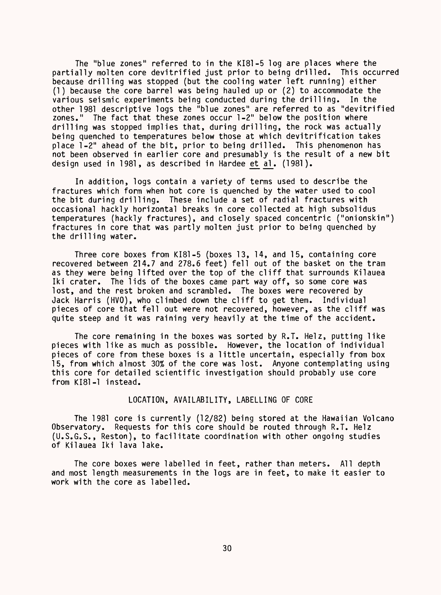The "blue zones" referred to in the KI81-5 log are places where the partially molten core devitrified just prior to being drilled. This occurred because drilling was stopped (but the cooling water left running) either (1) because the core barrel was being hauled up or (2) to accommodate the various seismic experiments being conducted during the drilling. In the other 1981 descriptive logs the "blue zones" are referred to as "devitrified zones." The fact that these zones occur 1-2" below the position where drilling was stopped implies that, during drilling, the rock was actually being quenched to temperatures below those at which devitrification takes place 1-2" ahead of the bit, prior to being drilled. This phenomenon has not been observed in earlier core and presumably is the result of a new bit design used in 1981, as described in Hardee et al. (1981).

In addition, logs contain a variety of terms used to describe the fractures which form when hot core is quenched by the water used to cool the bit during drilling. These include a set of radial fractures with occasional hackly horizontal breaks in core collected at high subsolidus temperatures (hackly fractures), and closely spaced concentric ("onionskin") fractures in core that was partly molten just prior to being quenched by the drilling water.

Three core boxes from KI81-5 (boxes 13, 14, and 15, containing core recovered between 214.7 and 278.6 feet) fell out of the basket on the tram as they were being lifted over the top of the cliff that surrounds Kilauea Iki crater. The lids of the boxes came part way off, so some core was lost, and the rest broken and scrambled. The boxes were recovered by Jack Harris (HVO), who climbed down the cliff to get them. Individual pieces of core that fell out were not recovered, however, as the cliff was quite steep and it was raining very heavily at the time of the accident.

The core remaining in the boxes was sorted by R.T. Helz, putting like pieces with like as much as possible. However, the location of individual pieces of core from these boxes is a little uncertain, especially from box 15, from which almost 30% of the core was lost. Anyone contemplating using this core for detailed scientific investigation should probably use core from KI81-1 instead.

#### LOCATION, AVAILABILITY, LABELLING OF CORE

The 1981 core is currently (12/82) being stored at the Hawaiian Volcano Observatory. Requests for this core should be routed through R.T. Helz (U.S.G.S., Reston), to facilitate coordination with other ongoing studies of Kilauea Iki lava lake.

The core boxes were labelled in feet, rather than meters. All depth and most length measurements in the logs are in feet, to make it easier to work with the core as labelled.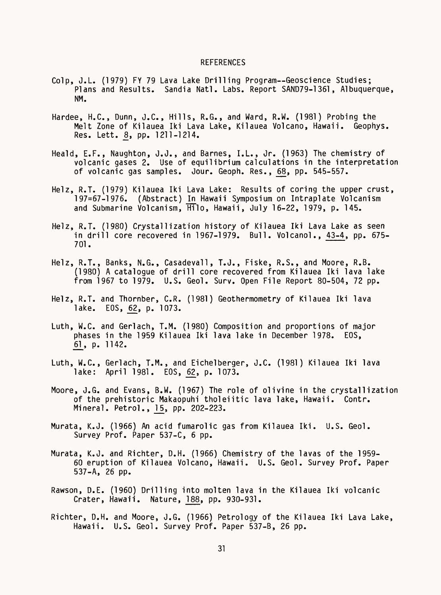#### **REFERENCES**

- Colp, J.L. (1979) FY 79 Lava Lake Drilling Program--Geoscience Studies; Plans and Results. Sandia Natl. Labs. Report SAND79-1361, Albuquerque, NM.
- Hardee, H.C., Dunn, J.C., Hills, R.G., and Ward, R.W. (1981) Probing the Melt Zone of Kilauea Iki Lava Lake, Kilauea Volcano, Hawaii. Geophys. Res. Lett. 8, pp. 1211-1214.
- Heald, E.F., Naughton, J.J., and Barnes, I.L., Jr. (1963) The chemistry of volcanic gases 2. Use of equilibrium calculations in the interpretation of volcanic gas samples. Jour. Geoph. Res., 68, pp. 545-557.
- Helz, R.T. (1979) Kilauea Iki Lava Lake: Results of coring the upper crust, 197=67-1976. (Abstract) In Hawaii Symposium on Intraplate Volcanism and Submarine Volcanism, Hilo, Hawaii, July 16-22, 1979, p. 145.
- Helz, R.T. (1980) Crystallization history of Kilauea Iki Lava Lake as seen in drill core recovered in 1967-1979. Bull. Volcanol., 43-4, pp. 675- 701.
- Helz, R.T., Banks, N.G., Casadevall, T.J., Fiske, R.S., and Moore, R.B. (1980) A catalogue of drill core recovered from Kilauea Iki lava lake from 1967 to 1979. U.S. Geol. Surv. Open File Report 80-504, 72 pp.
- Helz, R.T. and Thornber, C.R. (1981) Geothermometry of Kilauea Iki lava lake. EOS, 62, p. 1073.
- Luth, W.C. and Gerlach, T.M. (1980) Composition and proportions of major phases in the 1959 Kilauea Iki lava lake in December 1978. EOS, £1\_, p. 1142.
- Luth, W.C., Gerlach, T.M., and Eichelberger, J.C. (1981) Kilauea Iki lava lake: April 1981. EOS, 62, p. 1073.
- Moore, J.G. and Evans, B.W. (1967) The role of olivine in the crystallization of the prehistoric Makaopuhi tholeiitic lava lake, Hawaii. Contr. Mineral. Petrol., 15, pp. 202-223.
- Murata, K.J. (1966) An acid fumarolic gas from Kilauea Iki. U.S. Geol. Survey Prof. Paper 537-C, 6 pp.
- Murata, K.J. and Richter, D.H. (1966) Chemistry of the lavas of the 1959- 60 eruption of Kilauea Volcano, Hawaii. U.S. Geol. Survey Prof. Paper 537-A, 26 pp.
- Rawson, D.E. (1960) Drilling into molten lava in the Kilauea Iki volcanic Crater, Hawaii. Nature, 188, pp. 930-931.
- Richter, D.H. and Moore, J.G. (1966) Petrology of the Kilauea Iki Lava Lake, Hawaii. U.S. Geol. Survey Prof. Paper 537-B, 26 pp.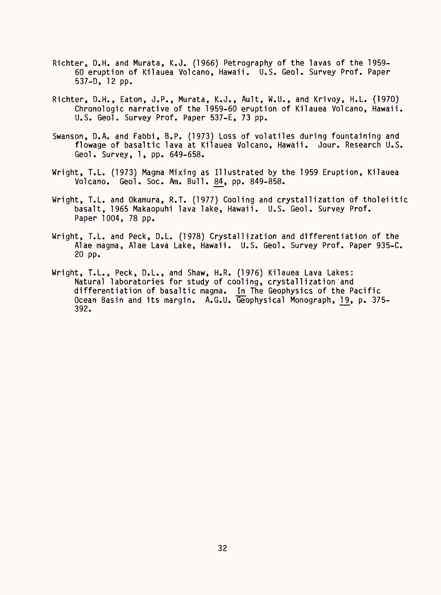- Richter, D.H. and Murata, K.J. (1966) Petrography of the lavas of the 1959- 60 eruption of Kilauea Volcano, Hawaii. U.S. Geol. Survey Prof. Paper 537-0, 12 pp.
- Richter, D.H., Eaton, J.P., Murata, K.J., Ault, W.U., and Krivoy, H.L. (1970) Chronologic narrative of the 1959-60 eruption of Kilauea Volcano, Hawaii. U.S. Geol. Survey Prof. Paper 537-E, 73 pp.
- Swanson, D.A. and Fabbi, B.P. (1973) Loss of volatiles during fountaining and flowage of basaltic lava at Kilauea Volcano, Hawaii. Jour. Research U.S. Geol. Survey, 1, pp. 649-658.
- Wright, T.L. (1973) Magma Mixing as Illustrated by the 1959 Eruption, Kilauea Volcano. Geol. Soc. Am. Bull. 84-, pp. 849-858.
- Wright, T.L. and Okamura, R.T. (1977) Cooling and crystallization of tholeiitic basalt, 1965 Makaopuhi lava lake, Hawaii. U.S. Geol. Survey Prof. Paper 1004, 78 pp.
- Wright, T.L. and Peck, D.L. (1978) Crystallization and differentiation of the Alae magma, Alae Lava Lake, Hawaii. U.S. Geol. Survey Prof. Paper 935-C. 20 pp.
- Wright, T.L., Peck, D.L., and Shaw, H.R. (1976) Kilauea Lava Lakes: Natural laboratories for study of cooling, crystallization and differentiation of basaltic magma. In The Geophysics of the Pacific Ocean Basin and its margin. A.G.U. Geophysical Monograph, 19, p. 375-<br>392.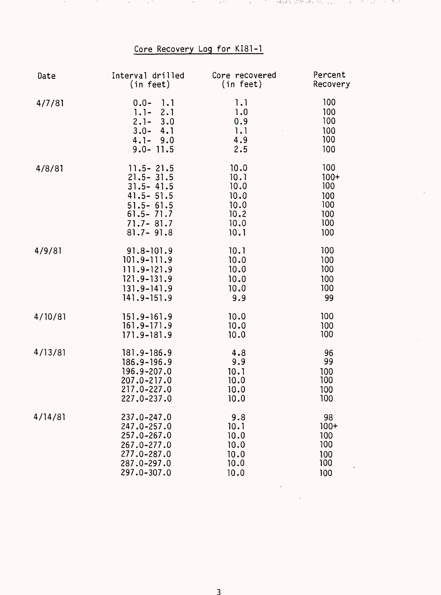# Core Recovery Log for KI81-1

 $\sim 100$ 

**Constitution** 

アンドレージ こうぞうき 最終 同様の意味 しょくひょう オーバー・エー・オーキャン

**Contract** 

and the

 $\sim 100$ 

in Pol

| Date    | Interval drilled                                                                           | Core recovered                         | Percent                                |
|---------|--------------------------------------------------------------------------------------------|----------------------------------------|----------------------------------------|
|         | (in feet)                                                                                  | (in feet)                              | Recovery                               |
| 4/7/81  | $0.0 -$<br>1.1<br>$1.1 - 2.1$<br>$2.1 - 3.0$<br>$3.0 - 4.1$<br>$4.1 - 9.0$<br>$9.0 - 11.5$ | 1.1<br>1.0<br>0.9<br>1.1<br>4.9<br>2.5 | 100<br>100<br>100<br>100<br>100<br>100 |
| 4/8/81  | $11.5 - 21.5$                                                                              | 10.0                                   | 100                                    |
|         | $21.5 - 31.5$                                                                              | 10.1                                   | $100+$                                 |
|         | $31.5 - 41.5$                                                                              | 10.0                                   | 100                                    |
|         | $41.5 - 51.5$                                                                              | 10.0                                   | 100                                    |
|         | $51.5 - 61.5$                                                                              | 10.0                                   | 100                                    |
|         | $61.5 - 71.7$                                                                              | 10.2                                   | 100                                    |
|         | $71.7 - 81.7$                                                                              | 10.0                                   | 100                                    |
|         | $81.7 - 91.8$                                                                              | 10.1                                   | 100                                    |
| 4/9/81  | $91.8 - 101.9$                                                                             | 10.1                                   | 100                                    |
|         | $101.9 - 111.9$                                                                            | 10.0                                   | 100                                    |
|         | 111.9-121.9                                                                                | 10.0                                   | 100                                    |
|         | 121.9-131.9                                                                                | 10.0                                   | 100                                    |
|         | $131.9 - 141.9$                                                                            | 10.0                                   | 100                                    |
|         | $141.9 - 151.9$                                                                            | 9.9                                    | 99                                     |
| 4/10/81 | $151.9 - 161.9$                                                                            | 10.0                                   | 100                                    |
|         | $161.9 - 171.9$                                                                            | 10.0                                   | 100                                    |
|         | 171.9-181.9                                                                                | 10.0                                   | 100                                    |
| 4/13/81 | 181.9-186.9                                                                                | 4.8                                    | 96                                     |
|         | 186.9-196.9                                                                                | 9.9                                    | 99                                     |
|         | 196.9-207.0                                                                                | 10.1                                   | 100                                    |
|         | 207.0-217.0                                                                                | 10.0                                   | 100                                    |
|         | 217.0-227.0                                                                                | 10.0                                   | 100                                    |
|         | 227.0-237.0                                                                                | 10.0                                   | 100                                    |
| 4/14/81 | 237.0-247.0                                                                                | 9.8                                    | 98                                     |
|         | 247.0-257.0                                                                                | 10.1                                   | $100+$                                 |
|         | 257.0-267.0                                                                                | 10.0                                   | 100                                    |
|         | 267.0-277.0                                                                                | 10.0                                   | 100                                    |
|         | 277.0-287.0                                                                                | 10.0                                   | 100                                    |
|         | 287.0-297.0                                                                                | 10.0                                   | 100                                    |
|         | 297.0-307.0                                                                                | 10.0                                   | 100                                    |

 $\sim 10^{-10}$ 

 $\alpha$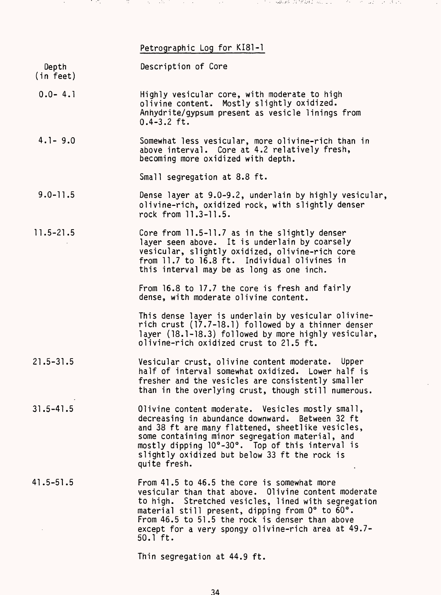#### Petrographic Log for KI81-1

in the possible of the second and con-

and a company

| Depth     | Description of Core |
|-----------|---------------------|
| (in feet) |                     |

in ang

- 0.0- 4.1 Highly vesicular core, with moderate to high olivine content. Mostly slightly oxidized. Anhydrite/gypsum present as vesicle linings from  $0.4 - 3.2$  ft.
- 4.1- 9.0 Somewhat less vesicular, more olivine-rich than in above interval. Core at 4.2 relatively fresh, becoming more oxidized with depth.

Small segregation at 8.8 ft.

- 9.0-11.5 Dense layer at 9.0-9.2, underlain by highly vesicular, olivine-rich, oxidized rock, with slightly denser rock from 11.3-11.5.
- 11.5-21.5 Core from 11.5-11.7 as in the slightly denser layer seen above. It is underlain by coarsely vesicular, slightly oxidized, olivine-rich core from 11.7 to 16.8 ft. Individual olivines in this interval may be as long as one inch.

From 16.8 to 17.7 the core is fresh and fairly dense, with moderate olivine content.

This dense layer is underlain by vesicular olivinerich crust (17.7-18.1) followed by a thinner denser layer (18.1-18.3) followed by more highly vesicular, olivine-rich oxidized crust to 21.5 ft.

- 21.5-31.5 Vesicular crust, olivine content moderate. Upper half of interval somewhat oxidized. Lower half is fresher and the vesicles are consistently smaller than in the overlying crust, though still numerous.
- 31.5-41.5 Olivine content moderate. Vesicles mostly small, decreasing in abundance downward. Between 32 ft and 38 ft are many flattened, sheetlike vesicles, some containing minor segregation material, and mostly dipping 10°-30°. Top of this interval is slightly oxidized but below 33 ft the rock is quite fresh.
- 41.5-51.5 From 41.5 to 46.5 the core is somewhat more vesicular than that above. Olivine content moderate to high. Stretched vesicles, lined with segregation material still present, dipping from 0° to 60°. From 46.5 to 51.5 the rock is denser than above except for a very spongy olivine-rich area at 49.7- 50.1 ft.

Thin segregation at 44.9 ft.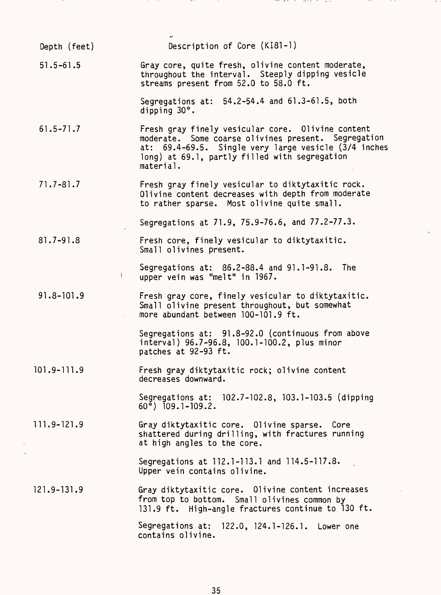Depth (feet) Description of Core (KI81-1) 51.5-61.5 Gray core, quite fresh, olivine content moderate, throughout the interval. Steeply dipping vesicle streams present from 52.0 to 58.0 ft. Segregations at: 54.2-54.4 and 61.3-61.5, both dipping 30°. 61.5-71.7 Fresh gray finely vesicular core. Olivine content moderate. Some coarse olivines present. Segregation at: 69.4-69.5. Single very large vesicle (3/4 inches long) at 69.1, partly filled with segregation material. 71.7-81.7 Fresh gray finely vesicular to diktytaxitic rock. Olivine content decreases with depth from moderate to rather sparse. Most olivine quite small. Segregations at 71.9, 75.9-76.6, and 77.2-77.3. 81.7-91.8 Fresh core, finely vesicular to diktytaxitic. Small olivines present. Segregations at: 86.2-88.4 and 91.1-91.8. The 1 upper vein was "melt" in 1967. 91.8-101.9 Fresh gray core, finely vesicular to diktytaxitic. Small olivine present throughout, but somewhat more abundant between 100-101.9 ft. Segregations at: 91.8-92.0 (continuous from above interval) 96.7-96.8, 100.1-100.2, plus minor patches at 92-93 ft. 101.9-111.9 Fresh gray diktytaxitic rock; olivine content decreases downward. Segregations at: 102.7-102.8, 103.1-103.5 (dipping  $60^{\circ}$ ) 109.1-109.2. 111.9-121.9 Gray diktytaxitic core. Olivine sparse. Core shattered during drilling, with fractures running at high angles to the core. Segregations at 112.1-113.1 and 114.5-117.8. Upper vein contains olivine. 121.9-131.9 Gray diktytaxitic core. Olivine content increases from top to bottom. Small olivines common by 131.9 ft. High-angle fractures continue to 130 ft. Segregations at: 122.0, 124.1-126.1. Lower one contains olivine.

35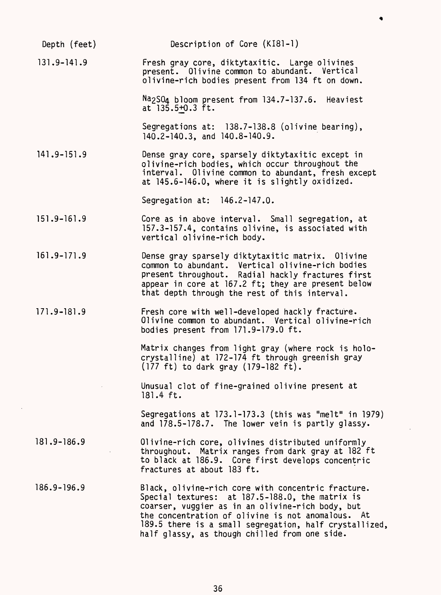| Depth (feet)    | Description of Core (KI81-1)                                                                                                                                                                                                                                                                                              |
|-----------------|---------------------------------------------------------------------------------------------------------------------------------------------------------------------------------------------------------------------------------------------------------------------------------------------------------------------------|
| $131.9 - 141.9$ | Fresh gray core, diktytaxitic. Large olivines<br>present. Olivine common to abundant. Vertical<br>olivine-rich bodies present from 134 ft on down.                                                                                                                                                                        |
|                 | Na <sub>2</sub> SO <sub>4</sub> bloom present from 134.7-137.6. Heaviest<br>at $135.5 + 0.3$ ft.                                                                                                                                                                                                                          |
|                 | Segregations at: 138.7-138.8 (olivine bearing),<br>140.2-140.3, and 140.8-140.9.                                                                                                                                                                                                                                          |
| $141.9 - 151.9$ | Dense gray core, sparsely diktytaxitic except in<br>olivine-rich bodies, which occur throughout the<br>interval. Olivine common to abundant, fresh except<br>at 145.6-146.0, where it is slightly oxidized.                                                                                                               |
|                 | Segregation at: 146.2-147.0.                                                                                                                                                                                                                                                                                              |
| $151.9 - 161.9$ | Core as in above interval. Small segregation, at<br>157.3-157.4, contains olivine, is associated with<br>vertical olivine-rich body.                                                                                                                                                                                      |
| $161.9 - 171.9$ | Dense gray sparsely diktytaxitic matrix. Olivine<br>common to abundant. Vertical olivine-rich bodies<br>present throughout. Radial hackly fractures first<br>appear in core at 167.2 ft; they are present below<br>that depth through the rest of this interval.                                                          |
| $171.9 - 181.9$ | Fresh core with well-developed hackly fracture.<br>Olivine common to abundant. Vertical olivine-rich<br>bodies present from 171.9-179.0 ft.                                                                                                                                                                               |
|                 | Matrix changes from light gray (where rock is holo-<br>crystalline) at 172-174 ft through greenish gray<br>(177 ft) to dark gray (179-182 ft).                                                                                                                                                                            |
|                 | Unusual clot of fine-grained olivine present at<br>$181.4$ ft.                                                                                                                                                                                                                                                            |
|                 | Segregations at 173.1-173.3 (this was "melt" in 1979)<br>and 178.5-178.7. The lower vein is partly glassy.                                                                                                                                                                                                                |
| $181.9 - 186.9$ | Olivine-rich core, olivines distributed uniformly<br>throughout. Matrix ranges from dark gray at 182 ft<br>to black at 186.9. Core first develops concentric<br>fractures at about 183 ft.                                                                                                                                |
| $186.9 - 196.9$ | Black, olivine-rich core with concentric fracture.<br>Special textures: at 187.5-188.0, the matrix is<br>coarser, vuggier as in an olivine-rich body, but<br>the concentration of olivine is not anomalous. At<br>189.5 there is a small segregation, half crystallized,<br>half glassy, as though chilled from one side. |

36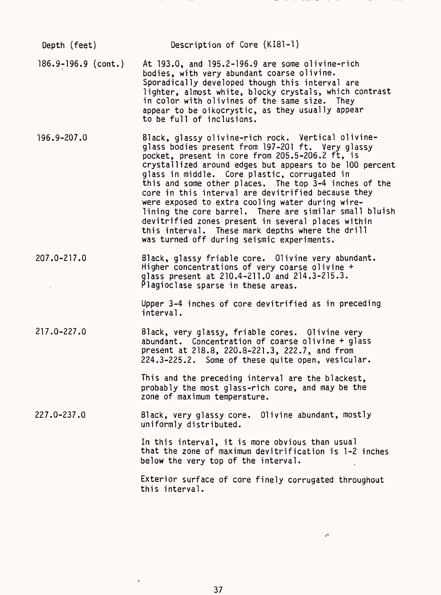Depth (feet) Description of Core (KI81-1) 186.9-196.9 (cont.) At 193.0, and 195.2-196.9 are some olivine-rich bodies, with very abundant coarse olivine. Sporadically developed though this interval are lighter, almost white, blocky crystals, which contrast in color with olivines of the same size. They appear to be oikocrystic, as they usually appear to be full of inclusions. 196.9-207.0 Black, glassy olivine-rich rock. Vertical olivineglass bodies present from 197-201 ft. Very glassy pocket, present in core from 205.5-206.2 ft, is crystallized around edges but appears to be 100 percent glass in middle. Core plastic, corrugated in this and some other places. The top 3-4 inches of the core in this interval are devitrified because they were exposed to extra cooling water during wirelining the core barrel. There are similar small bluish devitrified zones present in several places within this interval. These mark depths where the drill was turned off during seismic experiments. 207.0-217.0 Black, glassy friable core. Olivine very abundant. Higher concentrations of very coarse olivine + glass present at 210.4-211.0 and 214.3-215.3. Plagioclase sparse in these areas. Upper 3-4 inches of core devitrified as in preceding interval. 217.0-227.0 Black, very glassy, friable cores. Olivine very abundant. Concentration of coarse olivine + glass present at 218.8, 220.8-221.3, 222.7, and from 224.3-225.2. Some of these quite open, vesicular. This and the preceding interval are the blackest, probably the most glass-rich core, and may be the zone of maximum temperature. 227.0-237.0 Black, very glassy core. Olivine abundant, mostly uniformly distributed. In this interval, it is more obvious than usual that the zone of maximum devitrification is 1-2 inches below the very top of the interval. Exterior surface of core finely corrugated throughout this interval.

 $\triangleright$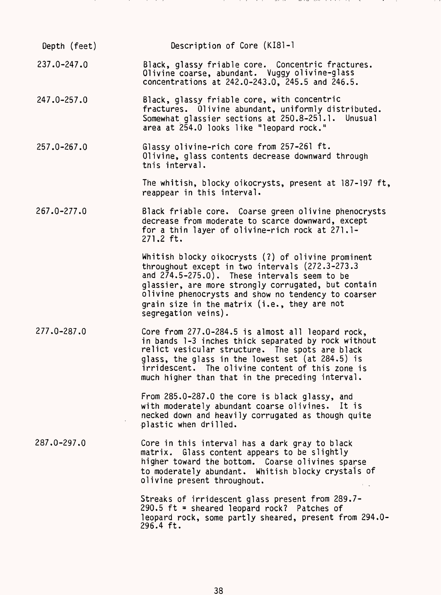| Depth (feet)    | Description of Core (KI81-1                                                                                                                                                                                                                                                                                                                     |
|-----------------|-------------------------------------------------------------------------------------------------------------------------------------------------------------------------------------------------------------------------------------------------------------------------------------------------------------------------------------------------|
| $237.0 - 247.0$ | Black, glassy friable core. Concentric fractures.<br>Olivine coarse, abundant. Vuggy olivine-glass<br>concentrations at 242.0-243.0, 245.5 and 246.5.                                                                                                                                                                                           |
| 247.0-257.0     | Black, glassy friable core, with concentric<br>fractures. Olivine abundant, uniformly distributed.<br>Somewhat glassier sections at 250.8-251.1. Unusual<br>area at 254.0 looks like "leopard rock."                                                                                                                                            |
| $257.0 - 267.0$ | Glassy olivine-rich core from 257-261 ft.<br>Olivine, glass contents decrease downward through<br>this interval.                                                                                                                                                                                                                                |
|                 | The whitish, blocky oikocrysts, present at 187-197 ft,<br>reappear in this interval.                                                                                                                                                                                                                                                            |
| $267.0 - 277.0$ | Black friable core. Coarse green olivine phenocrysts<br>decrease from moderate to scarce downward, except<br>for a thin layer of olivine-rich rock at 271.1-<br>$271.2$ ft.                                                                                                                                                                     |
|                 | Whitish blocky oikocrysts (?) of olivine prominent<br>throughout except in two intervals (272.3-273.3)<br>and $274.5 - 275.0$ . These intervals seem to be<br>glassier, are more strongly corrugated, but contain<br>olivine phenocrysts and show no tendency to coarser<br>grain size in the matrix (i.e., they are not<br>segregation veins). |
| $277.0 - 287.0$ | Core from 277.0-284.5 is almost all leopard rock,<br>in bands 1-3 inches thick separated by rock without<br>relict vesicular structure. The spots are black<br>glass, the glass in the lowest set (at 284.5) is<br>irridescent. The olivine content of this zone is<br>much higher than that in the preceding interval.                         |
|                 | From 285.0-287.0 the core is black glassy, and<br>with moderately abundant coarse olivines. It is<br>necked down and heavily corrugated as though quite<br>plastic when drilled.                                                                                                                                                                |
| $287.0 - 297.0$ | Core in this interval has a dark gray to black<br>matrix. Glass content appears to be slightly<br>higher toward the bottom. Coarse olivines sparse<br>to moderately abundant. Whitish blocky crystals of<br>olivine present throughout.                                                                                                         |
|                 | Streaks of irridescent glass present from 289.7-<br>290.5 ft = sheared leopard rock? Patches of<br>leopard rock, some partly sheared, present from 294.0-<br>296.4 ft.                                                                                                                                                                          |

 $\cdot$ 

 $\cdots$  $\cdots$   $100 - 100$  $\sim$   $\sim$   $\sim$   $\cdots$ -

the control of the

38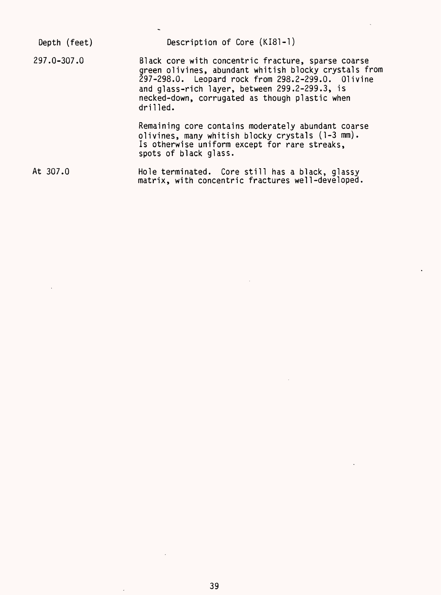| Depth (feet) | Description of Core (KI81-1)                                                                                                                                                                                                                                                    |
|--------------|---------------------------------------------------------------------------------------------------------------------------------------------------------------------------------------------------------------------------------------------------------------------------------|
| 297.0-307.0  | Black core with concentric fracture, sparse coarse<br>green olivines, abundant whitish blocky crystals from<br>297-298.0. Leopard rock from 298.2-299.0. Olivine<br>and glass-rich layer, between 299.2-299.3, is<br>necked-down, corrugated as though plastic when<br>drilled. |
|              | Remaining core contains moderately abundant coarse<br>olivines, many whitish blocky crystals (1-3 mm).<br>Is otherwise uniform except for rare streaks,<br>spots of black glass.                                                                                                |
| At 307.0     | Hole terminated. Core still has a black, glassy<br>matrix, with concentric fractures well-developed.                                                                                                                                                                            |

 $\bar{z}$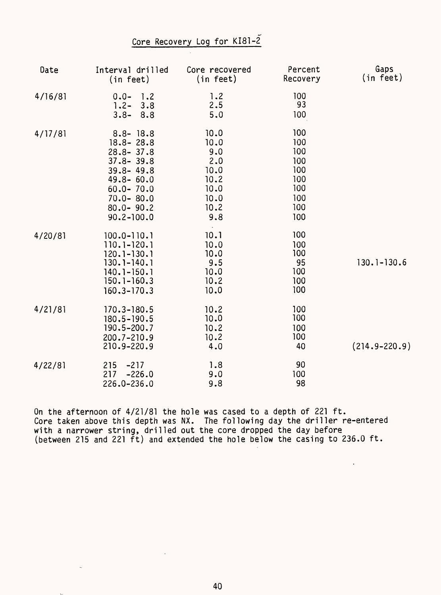## Core Recovery Log for KI81-2

| Date    | Interval drilled<br>(in feet)                                                                                                                                          | Core recovered<br>(in feet)                                               | Percent<br>Recovery                                                | Gaps<br>(in feet) |
|---------|------------------------------------------------------------------------------------------------------------------------------------------------------------------------|---------------------------------------------------------------------------|--------------------------------------------------------------------|-------------------|
| 4/16/81 | $0.0 -$<br>1.2<br>$1.2 -$<br>3.8<br>$3.8 -$<br>8.8                                                                                                                     | 1.2<br>2.5<br>5.0                                                         | 100<br>93<br>100                                                   |                   |
| 4/17/81 | $8.8 - 18.8$<br>$18.8 - 28.8$<br>$28.8 - 37.8$<br>$37.8 - 39.8$<br>$39.8 - 49.8$<br>$49.8 - 60.0$<br>$60.0 - 70.0$<br>$70.0 - 80.0$<br>$80.0 - 90.2$<br>$90.2 - 100.0$ | 10.0<br>10.0<br>9.0<br>2.0<br>10.0<br>10.2<br>10.0<br>10.0<br>10.2<br>9.8 | 100<br>100<br>100<br>100<br>100<br>100<br>100<br>100<br>100<br>100 |                   |
| 4/20/81 | $100.0 - 110.1$<br>$110.1 - 120.1$<br>$120.1 - 130.1$<br>$130.1 - 140.1$<br>$140.1 - 150.1$<br>$150.1 - 160.3$<br>$160.3 - 170.3$                                      | 10.1<br>10.0<br>10.0<br>9.5<br>10.0<br>10.2<br>10.0                       | 100<br>100<br>100<br>95<br>100<br>100<br>100                       | $130.1 - 130.6$   |
| 4/21/81 | 170.3-180.5<br>180.5-190.5<br>190.5-200.7<br>200.7-210.9<br>210.9-220.9                                                                                                | 10.2<br>10.0<br>10.2<br>10.2<br>4.0                                       | 100<br>100<br>100<br>100<br>40                                     | $(214.9 - 220.9)$ |
| 4/22/81 | 215<br>$-217$<br>217<br>$-226.0$<br>226.0-236.0                                                                                                                        | 1.8<br>9.0<br>9.8                                                         | 90<br>100<br>98                                                    |                   |

On the afternoon of 4/21/81 the hole was cased to a depth of 221 ft. Core taken above this depth was NX. The following day the driller re-entered with a narrower string, drilled out the core dropped the day before (between 215 and 221 ft) and extended the hole below the casing to 236.0 ft.

 $\ddot{\phantom{a}}$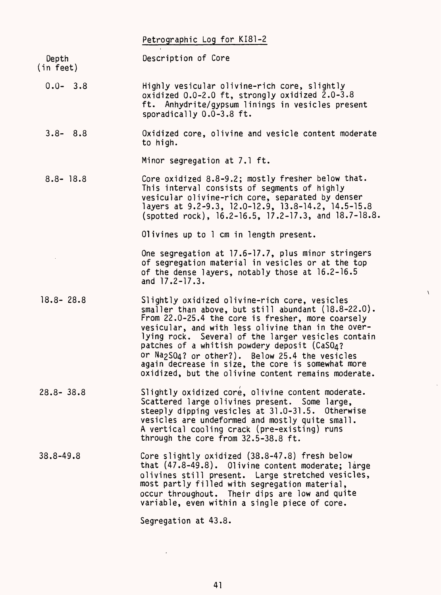|                    | Petrographic Log for KI81-2                                                                                                                                                                                                                                                                                                                                                                                                                                                                         |
|--------------------|-----------------------------------------------------------------------------------------------------------------------------------------------------------------------------------------------------------------------------------------------------------------------------------------------------------------------------------------------------------------------------------------------------------------------------------------------------------------------------------------------------|
| Depth<br>(in feet) | Description of Core                                                                                                                                                                                                                                                                                                                                                                                                                                                                                 |
| $0.0 - 3.8$        | Highly vesicular olivine-rich core, slightly<br>oxidized 0.0-2.0 ft, strongly oxidized 2.0-3.8<br>ft. Anhydrite/gypsum linings in vesicles present<br>sporadically 0.0-3.8 ft.                                                                                                                                                                                                                                                                                                                      |
| $3.8 - 8.8$        | Oxidized core, olivine and vesicle content moderate<br>to high.                                                                                                                                                                                                                                                                                                                                                                                                                                     |
|                    | Minor segregation at 7.1 ft.                                                                                                                                                                                                                                                                                                                                                                                                                                                                        |
| $8.8 - 18.8$       | Core oxidized 8.8-9.2; mostly fresher below that.<br>This interval consists of segments of highly<br>vesicular olivine-rich core, separated by denser<br>layers at 9.2-9.3, 12.0-12.9, 13.8-14.2, 14.5-15.8<br>(spotted rock), 16.2-16.5, 17.2-17.3, and 18.7-18.8.                                                                                                                                                                                                                                 |
|                    | Olivines up to 1 cm in length present.                                                                                                                                                                                                                                                                                                                                                                                                                                                              |
|                    | One segregation at 17.6-17.7, plus minor stringers<br>of segregation material in vesicles or at the top<br>of the dense layers, notably those at 16.2-16.5<br>and $17.2 - 17.3$ .                                                                                                                                                                                                                                                                                                                   |
| $18.8 - 28.8$      | Slightly oxidized olivine-rich core, vesicles<br>smaller than above, but still abundant $(18.8-22.0)$ .<br>From 22.0-25.4 the core is fresher, more coarsely<br>vesicular, and with less olivine than in the over-<br>lying rock. Several of the larger vesicles contain<br>patches of a whitish powdery deposit (CaSO4?<br>or Na <sub>2</sub> S04? or other?). Below 25.4 the vesicles<br>again decrease in size, the core is somewhat more<br>oxidized, but the olivine content remains moderate. |
| $28.8 - 38.8$      | Slightly oxidized core, olivine content moderate.<br>Scattered large olivines present. Some large,<br>steeply dipping vesicles at 31.0-31.5. Otherwise<br>vesicles are undeformed and mostly quite small.<br>A vertical cooling crack (pre-existing) runs<br>through the core from 32.5-38.8 ft.                                                                                                                                                                                                    |
| 38.8-49.8          | Core slightly oxidized (38.8-47.8) fresh below<br>that (47.8-49.8). Olivine content moderate; large<br>olivines still present. Large stretched vesicles,<br>most partly filled with segregation material,<br>occur throughout. Their dips are low and quite<br>variable, even within a single piece of core.                                                                                                                                                                                        |
|                    | Segregation at 43.8.                                                                                                                                                                                                                                                                                                                                                                                                                                                                                |

 $\bar{\chi}$ 

 $\ddot{\phantom{0}}$ 

 $\ddot{\phantom{0}}$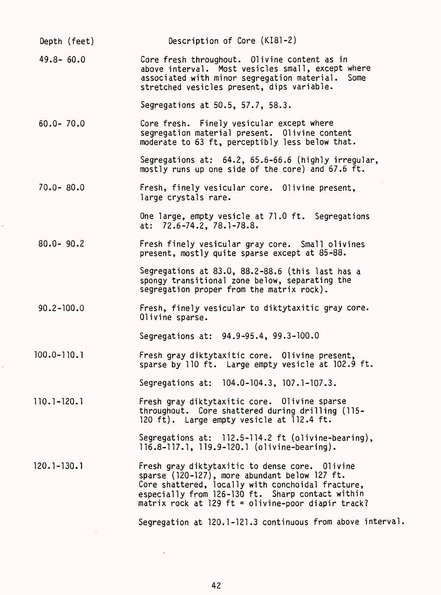| Depth (feet)    | Description of Core (KI81-2)                                                                                                                                                                                                                                   |
|-----------------|----------------------------------------------------------------------------------------------------------------------------------------------------------------------------------------------------------------------------------------------------------------|
| $49.8 - 60.0$   | Core fresh throughout. Olivine content as in<br>above interval. Most vesicles small, except where<br>associated with minor segregation material. Some<br>stretched vesicles present, dips variable.                                                            |
|                 | Segregations at 50.5, 57.7, 58.3.                                                                                                                                                                                                                              |
| $60.0 - 70.0$   | Core fresh. Finely vesicular except where<br>segregation material present. Olivine content<br>moderate to 63 ft, perceptibly less below that.                                                                                                                  |
|                 | Segregations at: 64.2, 65.6-66.6 (highly irregular,<br>mostly runs up one side of the core) and 67.6 ft.                                                                                                                                                       |
| $70.0 - 80.0$   | Fresh, finely vesicular core. Olivine present,<br>large crystals rare.                                                                                                                                                                                         |
|                 | One large, empty vesicle at 71.0 ft. Segregations<br>at: 72.6-74.2, 78.1-78.8.                                                                                                                                                                                 |
| $80.0 - 90.2$   | Fresh finely vesicular gray core. Small olivines<br>present, mostly quite sparse except at 85-88.                                                                                                                                                              |
|                 | Segregations at 83.0, 88.2-88.6 (this last has a<br>spongy transitional zone below, separating the<br>segregation proper from the matrix rock).                                                                                                                |
| $90.2 - 100.0$  | Fresh, finely vesicular to diktytaxitic gray core.<br>Olivine sparse.                                                                                                                                                                                          |
|                 | Segregations at: 94.9-95.4, 99.3-100.0                                                                                                                                                                                                                         |
| $100.0 - 110.1$ | Fresh gray diktytaxitic core. Olivine present,<br>sparse by 110 ft. Large empty vesicle at 102.9 ft.                                                                                                                                                           |
|                 | Segregations at: 104.0-104.3, 107.1-107.3.                                                                                                                                                                                                                     |
| $110.1 - 120.1$ | Fresh gray diktytaxitic core. Olivine sparse<br>throughout. Core shattered during drilling (115-<br>120 ft). Large empty vesicle at 112.4 ft.                                                                                                                  |
|                 | Segregations at: 112.5-114.2 ft (olivine-bearing),<br>116.8-117.1, 119.9-120.1 (olivine-bearing).                                                                                                                                                              |
| $120.1 - 130.1$ | Fresh gray diktytaxitic to dense core. Olivine<br>sparse (120-127), more abundant below 127 ft.<br>Core shattered, locally with conchoidal fracture,<br>especially from 126-130 ft. Sharp contact within<br>matrix rock at 129 ft = olivine-poor diapir track? |
|                 | Segregation at 120.1-121.3 continuous from above interval                                                                                                                                                                                                      |
|                 |                                                                                                                                                                                                                                                                |

 $\hat{\mathcal{S}}$ 

 $\frac{1}{\sqrt{2}}$ 

 $\mathcal{L}^{\text{max}}_{\text{max}}$  and  $\mathcal{L}^{\text{max}}_{\text{max}}$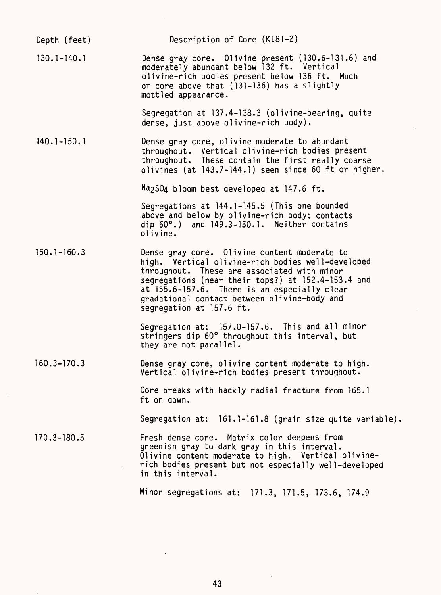| Depth (feet)    | Description of Core (KI81-2)                                                                                                                                                                                                                                                                                                       |
|-----------------|------------------------------------------------------------------------------------------------------------------------------------------------------------------------------------------------------------------------------------------------------------------------------------------------------------------------------------|
| $130.1 - 140.1$ | Dense gray core. Olivine present (130.6-131.6) and<br>moderately abundant below 132 ft. Vertical<br>olivine-rich bodies present below 136 ft. Much<br>of core above that (131-136) has a slightly<br>mottled appearance.                                                                                                           |
|                 | Segregation at 137.4-138.3 (olivine-bearing, quite<br>dense, just above olivine-rich body).                                                                                                                                                                                                                                        |
| $140.1 - 150.1$ | Dense gray core, olivine moderate to abundant<br>throughout. Vertical olivine-rich bodies present<br>throughout. These contain the first really coarse<br>olivines (at 143.7-144.1) seen since 60 ft or higher.                                                                                                                    |
|                 | Na <sub>2</sub> SO <sub>4</sub> bloom best developed at 147.6 ft.                                                                                                                                                                                                                                                                  |
|                 | Segregations at 144.1-145.5 (This one bounded<br>above and below by olivine-rich body; contacts<br>dip $60^\circ$ .) and $149.3 - 150.1$ . Neither contains<br>olivine.                                                                                                                                                            |
| $150.1 - 160.3$ | Dense gray core. Olivine content moderate to<br>high. Vertical olivine-rich bodies well-developed<br>throughout. These are associated with minor<br>segregations (near their tops?) at 152.4-153.4 and<br>at 155.6-157.6. There is an especially clear<br>gradational contact between olivine-body and<br>segregation at 157.6 ft. |
|                 | Segregation at: 157.0-157.6. This and all minor<br>stringers dip 60° throughout this interval, but<br>they are not parallel.                                                                                                                                                                                                       |
| $160.3 - 170.3$ | Dense gray core, olivine content moderate to high.<br>Vertical olivine-rich bodies present throughout.                                                                                                                                                                                                                             |
|                 | Core breaks with hackly radial fracture from 165.1<br>ft on down.                                                                                                                                                                                                                                                                  |
|                 | Segregation at: 161.1-161.8 (grain size quite variable).                                                                                                                                                                                                                                                                           |
| $170.3 - 180.5$ | Fresh dense core. Matrix color deepens from<br>greenish gray to dark gray in this interval.<br>Olivine content moderate to high. Vertical olivine-<br>rich bodies present but not especially well-developed<br>in this interval.                                                                                                   |
|                 | Minor segregations at: 171.3, 171.5, 173.6, 174.9                                                                                                                                                                                                                                                                                  |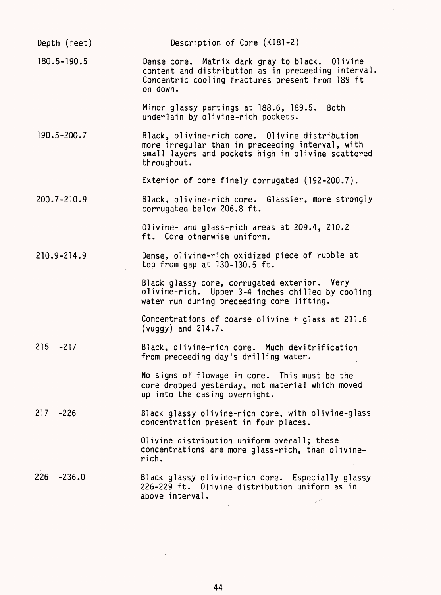| Depth (feet)    | Description of Core (KI81-2)                                                                                                                                            |  |  |
|-----------------|-------------------------------------------------------------------------------------------------------------------------------------------------------------------------|--|--|
| $180.5 - 190.5$ | Dense core. Matrix dark gray to black. Olivine<br>content and distribution as in preceeding interval.<br>Concentric cooling fractures present from 189 ft<br>on down.   |  |  |
|                 | Minor glassy partings at 188.6, 189.5. Both<br>underlain by olivine-rich pockets.                                                                                       |  |  |
| $190.5 - 200.7$ | Black, olivine-rich core. Olivine distribution<br>more irregular than in preceeding interval, with<br>small layers and pockets high in olivine scattered<br>throughout. |  |  |
|                 | Exterior of core finely corrugated (192-200.7).                                                                                                                         |  |  |
| 200.7-210.9     | Black, olivine-rich core. Glassier, more strongly<br>corrugated below 206.8 ft.                                                                                         |  |  |
|                 | Olivine- and glass-rich areas at 209.4, 210.2<br>ft. Core otherwise uniform.                                                                                            |  |  |
| 210.9-214.9     | Dense, olivine-rich oxidized piece of rubble at<br>top from gap at $130-130.5$ ft.                                                                                      |  |  |
|                 | Black glassy core, corrugated exterior. Very<br>olivine-rich. Upper 3-4 inches chilled by cooling<br>water run during preceeding core lifting.                          |  |  |
|                 | Concentrations of coarse olivine $+$ glass at 211.6<br>(vuggy) and $214.7.$                                                                                             |  |  |
| 215 -217        | Black, olivine-rich core. Much devitrification<br>from preceeding day's drilling water.                                                                                 |  |  |
|                 | No signs of flowage in core. This must be the<br>core dropped yesterday, not material which moved<br>up into the casing overnight.                                      |  |  |
| $217 - 226$     | Black glassy olivine-rich core, with olivine-glass<br>concentration present in four places.                                                                             |  |  |
|                 | Olivine distribution uniform overall; these<br>concentrations are more glass-rich, than olivine-<br>rich.                                                               |  |  |
| 226<br>$-236.0$ | Black glassy olivine-rich core. Especially glassy<br>226-229 ft. Olivine distribution uniform as in<br>above interval.                                                  |  |  |
|                 |                                                                                                                                                                         |  |  |

 $\mathcal{A}^{\mathcal{A}}$ 

 $\mathcal{L}^{\text{max}}_{\text{max}}$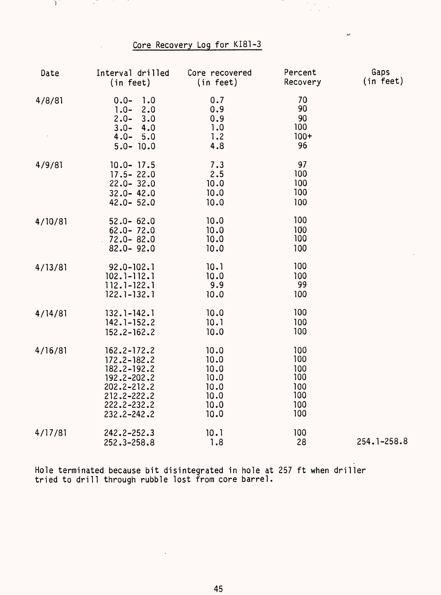## Core Recovery Log for KI81-3

 $\frac{1}{\sqrt{2}}$  $\bar{\mathcal{S}}$ 

مە

D,

 $\sim$ 

| Date    | Interval drilled<br>(in feet)                                                                                            | Core recovered<br>(in feet)                                  | Percent<br>Recovery                                  | Gaps<br>(in feet) |
|---------|--------------------------------------------------------------------------------------------------------------------------|--------------------------------------------------------------|------------------------------------------------------|-------------------|
| 4/8/81  | $0.0 -$<br>1.0<br>$1.0 -$<br>2.0<br>$2.0 -$<br>3.0<br>$3.0 -$<br>4.0<br>$4.0 -$<br>5.0<br>$5.0 - 10.0$                   | 0.7<br>0.9<br>0.9<br>1.0<br>1.2<br>4.8                       | 70<br>90<br>90<br>100<br>$100+$<br>96                |                   |
| 4/9/81  | $10.0 - 17.5$<br>$17.5 - 22.0$<br>$22.0 - 32.0$<br>$32.0 - 42.0$<br>$42.0 - 52.0$                                        | 7.3<br>2.5<br>10.0<br>10.0<br>10.0                           | 97<br>100<br>100<br>100<br>100                       |                   |
| 4/10/81 | $52.0 - 62.0$<br>$62.0 - 72.0$<br>$72.0 - 82.0$<br>$82.0 - 92.0$                                                         | 10.0<br>10.0<br>10.0<br>10.0                                 | 100<br>100<br>100<br>100                             |                   |
| 4/13/81 | $92.0 - 102.1$<br>$102.1 - 112.1$<br>$112.1 - 122.1$<br>$122.1 - 132.1$                                                  | 10.1<br>10.0<br>9.9<br>10.0                                  | 100<br>100<br>99<br>100                              |                   |
| 4/14/81 | $132.1 - 142.1$<br>$142.1 - 152.2$<br>$152.2 - 162.2$                                                                    | 10.0<br>10.1<br>10.0                                         | 100<br>100<br>100                                    |                   |
| 4/16/81 | $162.2 - 172.2$<br>172.2-182.2<br>182.2-192.2<br>192.2-202.2<br>202.2-212.2<br>212.2-222.2<br>222.2-232.2<br>232.2-242.2 | 10.0<br>10.0<br>10.0<br>10.0<br>10.0<br>10.0<br>10.0<br>10.0 | 100<br>100<br>100<br>100<br>100<br>100<br>100<br>100 |                   |
| 4/17/81 | 242.2-252.3<br>252.3-258.8                                                                                               | 10.1<br>1.8                                                  | 100<br>28                                            | 254.1-258.8       |

Hole terminated because bit disintegrated in hole at 257 ft when driller tried to drill through rubble lost from core barrel.

 $\ddot{\phantom{a}}$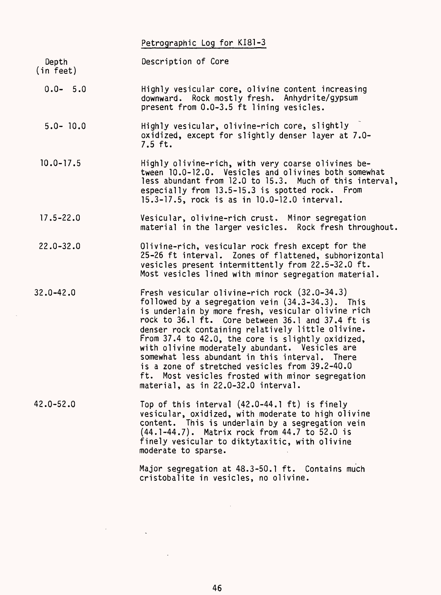Petrographic Log for KI81-3

Depth Description of Core

(in feet)

- 0.0- 5.0 Highly vesicular core, olivine content increasing downward. Rock mostly fresh. Anhydrite/gypsum present from 0.0-3.5 ft lining vesicles.
- 5.0- 10.0 Highly vesicular, olivine-rich core, slightly oxidized, except for slightly denser layer at 7.0- 7.5 ft.
- 10.0-17.5 Highly olivine-rich, with very coarse olivines between 10.0-12.0. Vesicles and olivines both somewhat less abundant from 12.0 to 15.3. Much of this interval especially from 13.5-15.3 is spotted rock. From 15.3-17.5, rock is as in 10.0-12.0 interval.
- 17.5-22.0 Vesicular, olivine-rich crust. Minor segregation material in the larger vesicles. Rock fresh throughout
- 22.0-32.0 Olivine-rich, vesicular rock fresh except for the 25-26 ft interval. Zones of flattened, subhorizontal vesicles present intermittently from 22.5-32.0 ft. Most vesicles lined with minor segregation material.
- 32.0-42.0 Fresh vesicular olivine-rich rock (32.0-34.3) followed by a segregation vein (34.3-34.3). This is underlain by more fresh, vesicular olivine rich rock to 36.1 ft. Core between 36.1 and 37.4 ft is denser rock containing relatively little olivine. From 37.4 to 42.0, the core is slightly oxidized, with olivine moderately abundant. Vesicles are somewhat less abundant in this interval. There is a zone of stretched vesicles from 39.2-40.0 ft. Most vesicles frosted with minor segregation material, as in 22.0-32.0 interval.
- 42.0-52.0 Top of this interval (42.0-44.1 ft) is finely vesicular, oxidized, with moderate to high olivine content. This is underlain by a segregation vein (44.1-44.7). Matrix rock from 44.7 to 52.0 is finely vesicular to diktytaxitic, with olivine moderate to sparse.

Major segregation at 48.3-50.1 ft. Contains much cristobalite in vesicles, no olivine.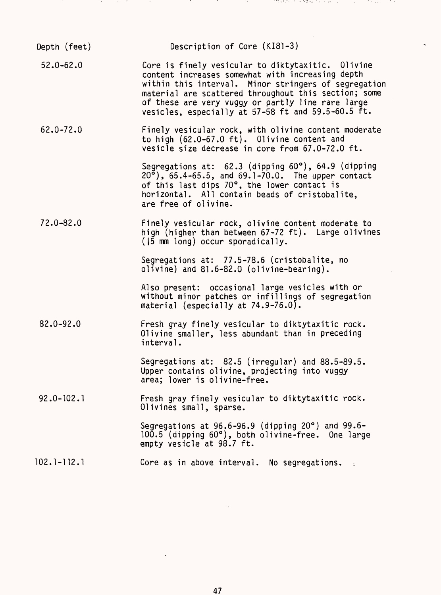| Depth (feet)   | Description of Core (KI81-3)                                                                                                                                                                                                                                                                                                     |
|----------------|----------------------------------------------------------------------------------------------------------------------------------------------------------------------------------------------------------------------------------------------------------------------------------------------------------------------------------|
| $52.0 - 62.0$  | Core is finely vesicular to diktytaxitic. Olivine<br>content increases somewhat with increasing depth<br>within this interval. Minor stringers of segregation<br>material are scattered throughout this section; some<br>of these are very vuggy or partly line rare large<br>vesicles, especially at 57-58 ft and 59.5-60.5 ft. |
| $62.0 - 72.0$  | Finely vesicular rock, with olivine content moderate<br>to high (62.0-67.0 ft). Olivine content and<br>vesicle size decrease in core from 67.0-72.0 ft.                                                                                                                                                                          |
|                | Segregations at: 62.3 (dipping 60°), 64.9 (dipping<br>$20^{\circ}$ ), 65.4-65.5, and 69.1-70.0. The upper contact<br>of this last dips 70°, the lower contact is<br>horizontal. All contain beads of cristobalite.<br>are free of olivine.                                                                                       |
| $72.0 - 82.0$  | Finely vesicular rock, olivine content moderate to<br>high (higher than between 67-72 ft). Large olivines<br>(15 mm long) occur sporadically.                                                                                                                                                                                    |
|                | Segregations at: 77.5-78.6 (cristobalite, no<br>olivine) and 81.6-82.0 (olivine-bearing).                                                                                                                                                                                                                                        |
|                | Also present: occasional large vesicles with or<br>without minor patches or infillings of segregation<br>material (especially at $74.9 - 76.0$ ).                                                                                                                                                                                |
| $82.0 - 92.0$  | Fresh gray finely vesicular to diktytaxitic rock.<br>Olivine smaller, less abundant than in preceding<br>interval.                                                                                                                                                                                                               |
|                | Segregations at: 82.5 (irregular) and 88.5-89.5.<br>Upper contains olivine, projecting into vuggy<br>area; lower is olivine-free.                                                                                                                                                                                                |
| $92.0 - 102.1$ | Fresh gray finely vesicular to diktytaxitic rock.<br>Olivines small, sparse.                                                                                                                                                                                                                                                     |
|                | Segregations at $96.6 - 96.9$ (dipping 20 $\degree$ ) and 99.6-<br>100.5 (dipping 60°), both olivine-free. One large<br>empty vesicle at 98.7 ft.                                                                                                                                                                                |
| 102.1-112.1    | Core as in above interval. No segregations.                                                                                                                                                                                                                                                                                      |

アンダー・アンド アンドランド アイアン・アール アンダイアー とうきん フィック・ショップ アール・アール アール

 $\sim$ 

and the state of the state

and the co

47

 $\mathcal{L}^{\text{max}}_{\text{max}}$ 

 $\label{eq:2.1} \frac{1}{\sqrt{2}}\int_{\mathbb{R}^3}\frac{1}{\sqrt{2}}\left(\frac{1}{\sqrt{2}}\right)^2\frac{1}{\sqrt{2}}\left(\frac{1}{\sqrt{2}}\right)^2\frac{1}{\sqrt{2}}\left(\frac{1}{\sqrt{2}}\right)^2\frac{1}{\sqrt{2}}\left(\frac{1}{\sqrt{2}}\right)^2.$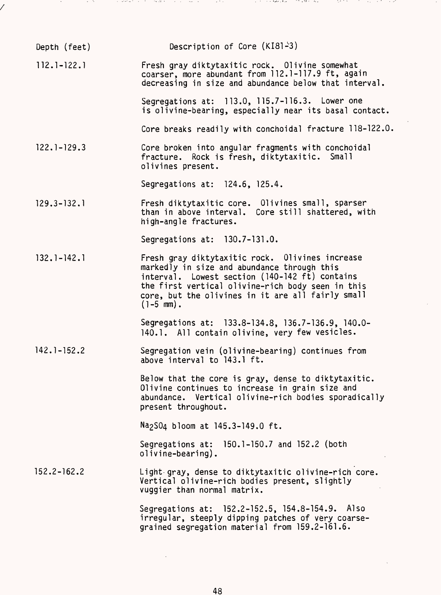| Depth (feet)    | Description of Core $(K181-3)$                                                                                                                                                                                                                                            |
|-----------------|---------------------------------------------------------------------------------------------------------------------------------------------------------------------------------------------------------------------------------------------------------------------------|
| $112.1 - 122.1$ | Fresh gray diktytaxitic rock. Olivine somewhat<br>coarser, more abundant from 112.1-117.9 ft, again<br>decreasing in size and abundance below that interval.                                                                                                              |
|                 | Segregations at: 113.0, 115.7-116.3. Lower one<br>is olivine-bearing, especially near its basal contact.                                                                                                                                                                  |
|                 | Core breaks readily with conchoidal fracture 118-122.0.                                                                                                                                                                                                                   |
| $122.1 - 129.3$ | Core broken into angular fragments with conchoidal<br>fracture. Rock is fresh, diktytaxitic. Small<br>olivines present.                                                                                                                                                   |
|                 | Segregations at: 124.6, 125.4.                                                                                                                                                                                                                                            |
| $129.3 - 132.1$ | Fresh diktytaxitic core. Olivines small, sparser<br>than in above interval. Core still shattered, with<br>high-angle fractures.                                                                                                                                           |
|                 | Segregations at: 130.7-131.0.                                                                                                                                                                                                                                             |
| $132.1 - 142.1$ | Fresh gray diktytaxitic rock. Olivines increase<br>markedly in size and abundance through this<br>interval. Lowest section (140-142 ft) contains<br>the first vertical olivine-rich body seen in this<br>core, but the olivines in it are all fairly small<br>$(1-5$ mm). |
|                 | Segregations at: 133.8-134.8, 136.7-136.9, 140.0-<br>140.1. All contain olivine, very few vesicles.                                                                                                                                                                       |
| $142.1 - 152.2$ | Segregation vein (olivine-bearing) continues from<br>above interval to 143.1 ft.                                                                                                                                                                                          |
|                 | Below that the core is gray, dense to diktytaxitic.<br>Olivine continues to increase in grain size and<br>abundance. Vertical olivine-rich bodies sporadically<br>present throughout.                                                                                     |
|                 | Na <sub>2</sub> SO <sub>4</sub> bloom at 145.3-149.0 ft.                                                                                                                                                                                                                  |
|                 | Segregations at: 150.1-150.7 and 152.2 (both<br>olivine-bearing).                                                                                                                                                                                                         |
| $152.2 - 162.2$ | Light gray, dense to diktytaxitic olivine-rich core.<br>Vertical olivine-rich bodies present, slightly<br>vuggier than normal matrix.                                                                                                                                     |
|                 | Segregations at: 152.2-152.5, 154.8-154.9. Also<br>irregular, steeply dipping patches of very coarse-<br>grained segregation material from 159.2-161.6.                                                                                                                   |

 $\sim$  1.  $\pm$ 

بدري والملاقة

an att eilar

スメリー

a at

**Sec. 30** 

t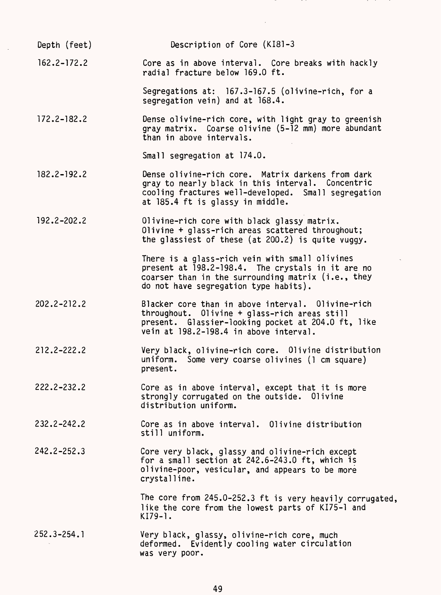Depth (feet) Description of Core (KI81-3 162.2-172.2 Core as in above interval. Core breaks with hackly radial fracture below 169.0 ft. Segregations at: 167.3-167.5 (olivine-rich, for a segregation vein) and at 168.4. 172.2-182.2 Dense olivine-rich core, with light gray to greenish gray matrix. Coarse olivine (5-12 mm) more abundant than in above intervals. Small segregation at 174.0. 182.2-192.2 Dense olivine-rich core. Matrix darkens from dark gray to nearly black in this interval. Concentric cooling fractures well-developed. Small segregation at 185.4 ft is glassy in middle. 192.2-202.2 Olivine-rich core with black glassy matrix. Olivine + glass-rich areas scattered throughout; the glassiest of these (at 200.2) is quite vuggy. There is a glass-rich vein with small olivines present at 198.2-198.4. The crystals in it are no coarser than in the surrounding matrix (i.e., they do not have segregation type habits). 202.2-212.2 Blacker core than in above interval. Olivine-rich throughout. Olivine + glass-rich areas still present. Glassier-looking pocket at 204.0 ft, like vein at 198.2-198.4 in above interval. 212.2-222.2 Very black, olivine-rich core. Olivine distribution uniform. Some very coarse olivines (1 cm square) present. 222.2-232.2 Core as in above interval, except that it is more strongly corrugated on the outside. Olivine distribution uniform. 232.2-242.2 Core as in above interval. Olivine distribution still uniform. 242.2-252.3 Core very black, glassy and olivine-rich except for a small section at 242.6-243.0 ft, which is olivine-poor, vesicular, and appears to be more crystalline. The core from 245.0-252.3 ft is very heavily corrugated, like the core from the lowest parts of KI75-1 and KI79-1. 252.3-254.1 Very black, glassy, olivine-rich core, much deformed. Evidently cooling water circulation was very poor.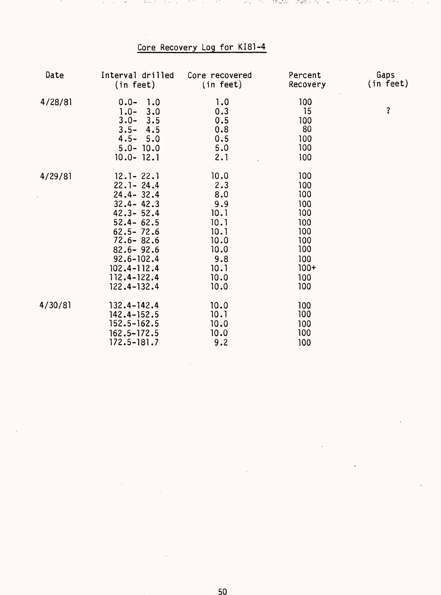## Core Recovery Log for KI81-4

 $\sim$   $\sim$ 74. atan ing

standard av

 $\sim$   $\Omega_{\odot}$ 

 $\cdots$ 

Λ.

and and

and the state  $\sim$ - 17

ਤੀ ਜਾਂਦੀ

Service Control

 $\bullet$ 

| Date    | Interval drilled<br>(in feet)                                                                                                                                                                                                    | Core recovered<br>(in feet)                                                                      | Percent<br>Recovery                                                                        | Gaps<br>(in feet) |
|---------|----------------------------------------------------------------------------------------------------------------------------------------------------------------------------------------------------------------------------------|--------------------------------------------------------------------------------------------------|--------------------------------------------------------------------------------------------|-------------------|
| 4/28/81 | $0.0 -$<br>1.0<br>$1.0 -$<br>3.0<br>$3.0 -$<br>3.5<br>$3.5 -$<br>4.5<br>$4.5 - 5.0$<br>$5.0 - 10.0$<br>$10.0 - 12.1$                                                                                                             | 1.0<br>0.3<br>0.5<br>0.8<br>0.5<br>5.0<br>2.1                                                    | 100<br>15<br>100<br>80<br>100<br>100<br>100                                                | ?                 |
| 4/29/81 | $12.1 - 22.1$<br>$22.1 - 24.4$<br>$24.4 - 32.4$<br>$32.4 - 42.3$<br>$42.3 - 52.4$<br>$52.4 - 62.5$<br>$62.5 - 72.6$<br>$72.6 - 82.6$<br>$82.6 - 92.6$<br>$92.6 - 102.4$<br>$102.4 - 112.4$<br>$112.4 - 122.4$<br>$122.4 - 132.4$ | 10.0<br>2.3<br>8.0<br>9.9<br>10.1<br>10.1<br>10.1<br>10.0<br>10.0<br>9.8<br>10.1<br>10.0<br>10.0 | 100<br>100<br>100<br>100<br>100<br>100<br>100<br>100<br>100<br>100<br>$100+$<br>100<br>100 |                   |
| 4/30/81 | $132.4 - 142.4$<br>$142.4 - 152.5$<br>$152.5 - 162.5$<br>$162.5 - 172.5$<br>$172.5 - 181.7$                                                                                                                                      | 10.0<br>10.1<br>10.0<br>10.0<br>9.2                                                              | 100<br>100<br>100<br>100<br>100                                                            |                   |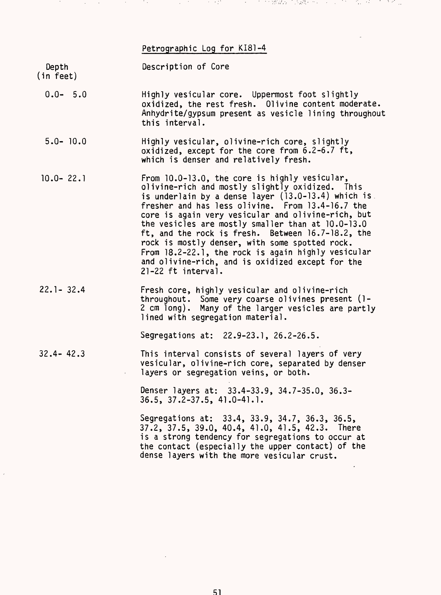#### Petrographic Log for KI81-4

at at the Melister

(この) 文法 オーケット・ファール

and the sea

and the state of

Depth Description of Core (in feet)

- 0.0- 5.0 Highly vesicular core. Uppermost foot slightly oxidized, the rest fresh. 01ivine content moderate. Anhydrite/gypsum present as vesicle lining throughout this interval.
- 5.0- 10.0 Highly vesicular, olivine-rich core, slightly oxidized, except for the core from 6.2-6.7 ft, which is denser and relatively fresh.
- 10.0- 22.1 From 10.0-13.0, the core is highly vesicular, olivine-rich and mostly slightly oxidized. This is underlain by a dense layer (13.0-13.4) which is fresher and has less olivine. From 13.4-16.7 the core is again very vesicular and olivine-rich, but the vesicles are mostly smaller than at 10.0-13.0 ft, and the rock is fresh. Between 16.7-18.2, the rock is mostly denser, with some spotted rock. From 18.2-22.1, the rock is again highly vesicular and olivine-rich, and is oxidized except for the 21-22 ft interval.
- 22.1- 32.4 Fresh core, highly vesicular and olivine-rich throughout. Some very coarse olivines present (1- 2 cm long). Many of the larger vesicles are partly lined with segregation material.

Segregations at: 22.9-23.1, 26.2-26.5.

32.4- 42.3 This interval consists of several layers of very vesicular, olivine-rich core, separated by denser layers or segregation veins, or both.

> Denser layers at: 33.4-33.9, 34.7-35.0, 36.3- 36.5, 37.2-37.5, 41.0-41.1.

Segregations at: 33.4, 33.9, 34.7, 36.3, 36.5, 37.2, 37.5, 39.0, 40.4, 41.0, 41.5, 42.3. There is a strong tendency for segregations to occur at the contact (especially the upper contact) of the dense layers with the more vesicular crust.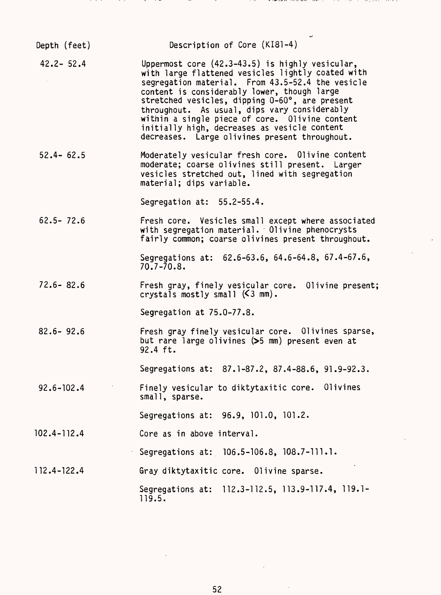| Depth (feet)   | Description of Core (KI81-4)                                                                                                                                                                                                                                                                                                                                                                                                                                 |
|----------------|--------------------------------------------------------------------------------------------------------------------------------------------------------------------------------------------------------------------------------------------------------------------------------------------------------------------------------------------------------------------------------------------------------------------------------------------------------------|
| $42.2 - 52.4$  | Uppermost core (42.3-43.5) is highly vesicular,<br>with large flattened vesicles lightly coated with<br>segregation material. From 43.5-52.4 the vesicle<br>content is considerably lower, though large<br>stretched vesicles, dipping 0-60°, are present<br>throughout. As usual, dips vary considerably<br>within a single piece of core. Olivine content<br>initially high, decreases as vesicle content<br>decreases. Large olivines present throughout. |
| $52.4 - 62.5$  | Moderately vesicular fresh core. Olivine content<br>moderate; coarse olivines still present. Larger<br>vesicles stretched out, lined with segregation<br>material; dips variable.                                                                                                                                                                                                                                                                            |
|                | Segregation at: 55.2-55.4.                                                                                                                                                                                                                                                                                                                                                                                                                                   |
| $62.5 - 72.6$  | Fresh core. Vesicles small except where associated<br>with segregation material. Olivine phenocrysts<br>fairly common; coarse olivines present throughout.                                                                                                                                                                                                                                                                                                   |
|                | Segregations at: 62.6-63.6, 64.6-64.8, 67.4-67.6,<br>$70.7 - 70.8$                                                                                                                                                                                                                                                                                                                                                                                           |
| $72.6 - 82.6$  | Fresh gray, finely vesicular core. Olivine present;<br>crystals mostly small $(5 \text{ mm})$ .                                                                                                                                                                                                                                                                                                                                                              |
|                | Segregation at 75.0-77.8.                                                                                                                                                                                                                                                                                                                                                                                                                                    |
| $82.6 - 92.6$  | Fresh gray finely vesicular core. Olivines sparse,<br>but rare large olivines (>5 mm) present even at<br>92.4 ft.                                                                                                                                                                                                                                                                                                                                            |
|                | Segregations at: 87.1-87.2, 87.4-88.6, 91.9-92.3.                                                                                                                                                                                                                                                                                                                                                                                                            |
| $92.6 - 102.4$ | Finely vesicular to diktytaxitic core. Olivines<br>small, sparse.                                                                                                                                                                                                                                                                                                                                                                                            |
|                | Segregations at: 96.9, 101.0, 101.2.                                                                                                                                                                                                                                                                                                                                                                                                                         |
| 102.4-112.4    | Core as in above interval.                                                                                                                                                                                                                                                                                                                                                                                                                                   |
|                | Segregations at: 106.5-106.8, 108.7-111.1.                                                                                                                                                                                                                                                                                                                                                                                                                   |
| 112.4-122.4    | Gray diktytaxitic core. Olivine sparse.                                                                                                                                                                                                                                                                                                                                                                                                                      |
|                | Segregations at: 112.3-112.5, 113.9-117.4, 119.1-<br>119.5.                                                                                                                                                                                                                                                                                                                                                                                                  |

 $1.1 - 1.1$  . The state

,,,,,

and a series

 $\cdots$  .

52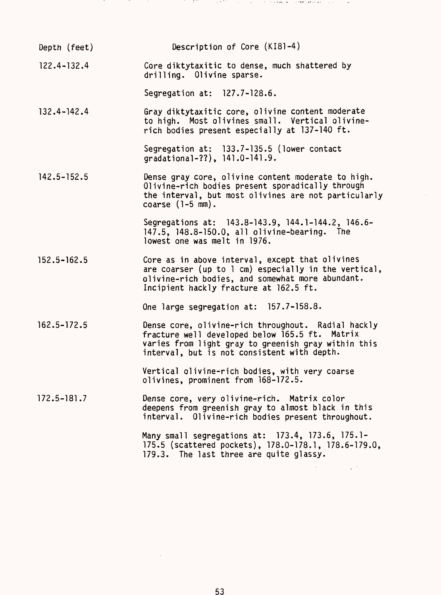| Depth (feet)    | Description of Core (KI81-4)                                                                                                                                                                               |
|-----------------|------------------------------------------------------------------------------------------------------------------------------------------------------------------------------------------------------------|
| $122.4 - 132.4$ | Core diktytaxitic to dense, much shattered by<br>drilling. Olivine sparse.                                                                                                                                 |
|                 | Segregation at: 127.7-128.6.                                                                                                                                                                               |
| $132.4 - 142.4$ | Gray diktytaxitic core, olivine content moderate<br>to high. Most olivines small. Vertical olivine-<br>rich bodies present especially at 137-140 ft.                                                       |
|                 | Segregation at: 133.7-135.5 (lower contact<br>gradational-??), 141.0-141.9.                                                                                                                                |
| $142.5 - 152.5$ | Dense gray core, olivine content moderate to high.<br>Olivine-rich bodies present sporadically through<br>the interval, but most olivines are not particularly<br>coarse $(1-5$ mm).                       |
|                 | Segregations at: 143.8-143.9, 144.1-144.2, 146.6-<br>147.5, 148.8-150.0, all olivine-bearing. The<br>lowest one was melt in 1976.                                                                          |
| $152.5 - 162.5$ | Core as in above interval, except that olivines<br>are coarser (up to $l$ cm) especially in the vertical,<br>olivine-rich bodies, and somewhat more abundant.<br>Incipient hackly fracture at 162.5 ft.    |
|                 | One large segregation at: 157.7-158.8.                                                                                                                                                                     |
| $162.5 - 172.5$ | Dense core, olivine-rich throughout. Radial hackly<br>fracture well developed below 165.5 ft. Matrix<br>varies from light gray to greenish gray within this<br>interval, but is not consistent with depth. |
|                 | Vertical olivine-rich bodies, with very coarse<br>olivines, prominent from 168-172.5.                                                                                                                      |
| 172.5-181.7     | Dense core, very olivine-rich. Matrix color<br>deepens from greenish gray to almost black in this<br>interval. Olivine-rich bodies present throughout.                                                     |
|                 | Many small segregations at: 173.4, 173.6, 175.1-<br>175.5 (scattered pockets), 178.0-178.1, 178.6-179.0,<br>179.3. The last three are quite glassy.                                                        |
|                 |                                                                                                                                                                                                            |

in the

and the

in the

in 1970 and 1970.

in katika m

 $\mathcal{O}(n^{2}+1)$  , where  $\mathcal{O}(n^{2}+1)$  is a finite of  $\mathcal{O}(n^{2}+1)$  . With the finite state  $\mathcal{O}(n^{2}+1)$ 

 $\sim$ 

 $\hat{A}$ 

53

 $\mathcal{L}^{\text{max}}_{\text{max}}$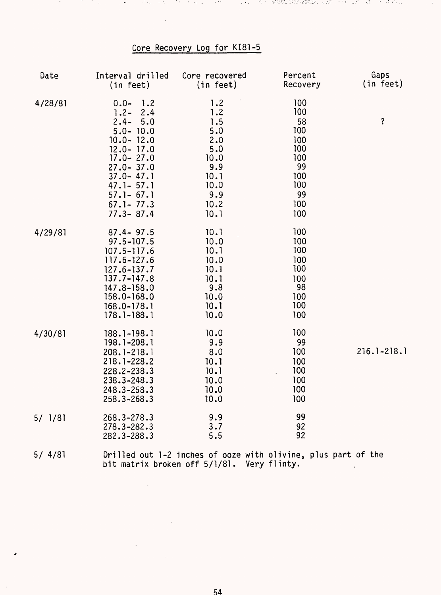## Core Recovery Log for KI81-5

 $\sim$ 

しゃしょうちゅうきょうしゃ アイプラントロール しょうしゅう 被除線 新婚 確認的にする しょうかいしゅう ダーマ なんさ

 $\sim$ 

and the company

| Date    | Interval drilled<br>(in feet)                                                                                                                                                                                               | Core recovered<br>(in feet)                                                                  | Percent<br>Recovery                                                                  | Gaps<br>(in feet)   |
|---------|-----------------------------------------------------------------------------------------------------------------------------------------------------------------------------------------------------------------------------|----------------------------------------------------------------------------------------------|--------------------------------------------------------------------------------------|---------------------|
| 4/28/81 | $0.0 -$<br>1.2<br>$1.2 -$<br>2.4<br>$2.4 -$<br>5.0<br>$5.0 - 10.0$<br>$10.0 - 12.0$<br>$12.0 - 17.0$<br>$17.0 - 27.0$<br>$27.0 - 37.0$<br>$37.0 - 47.1$<br>$47.1 - 57.1$<br>$57.1 - 67.1$<br>$67.1 - 77.3$<br>$77.3 - 87.4$ | 1.2<br>1.2<br>1.5<br>5.0<br>2.0<br>5.0<br>10.0<br>9.9<br>10.1<br>10.0<br>9.9<br>10.2<br>10.1 | 100<br>100<br>58<br>100<br>100<br>100<br>100<br>99<br>100<br>100<br>99<br>100<br>100 | $\ddot{\mathbf{?}}$ |
| 4/29/81 | $87.4 - 97.5$<br>$97.5 - 107.5$<br>$107.5 - 117.6$<br>117.6-127.6<br>$127.6 - 137.7$<br>$137.7 - 147.8$<br>147.8-158.0<br>158.0-168.0<br>$168.0 - 178.1$<br>$178.1 - 188.1$                                                 | 10.1<br>10.0<br>10.1<br>10.0<br>10.1<br>10.1<br>9.8<br>10.0<br>10.1<br>10.0                  | 100<br>100<br>100<br>100<br>100<br>100<br>98<br>100<br>100<br>100                    |                     |
| 4/30/81 | $188.1 - 198.1$<br>$198.1 - 208.1$<br>208.1-218.1<br>218.1-228.2<br>228.2-238.3<br>238.3-248.3<br>248.3-258.3<br>258.3-268.3                                                                                                | 10.0<br>9.9<br>8.0<br>10.1<br>10.1<br>10.0<br>10.0<br>10.0                                   | 100<br>99<br>100<br>100<br>100<br>100<br>100<br>100                                  | $216.1 - 218.1$     |
| 5/1/81  | 268.3-278.3<br>$278.3 - 282.3$<br>282.3-288.3                                                                                                                                                                               | 9.9<br>3.7<br>5.5                                                                            | 99<br>92<br>92                                                                       |                     |
| 5/4/81  |                                                                                                                                                                                                                             | Drilled out 1-2 inches of ooze with olivine, plus part of the                                |                                                                                      |                     |

54

bit matrix broken off 5/1/81. Very flinty.

 $\sim 10^{-1}$ 

 $\mathcal{L}(\mathcal{L}^{\text{c}})$  and  $\mathcal{L}^{\text{c}}$ 

 $\mathcal{L}^{\text{max}}_{\text{max}}$  and  $\mathcal{L}^{\text{max}}_{\text{max}}$ 

 $\sim$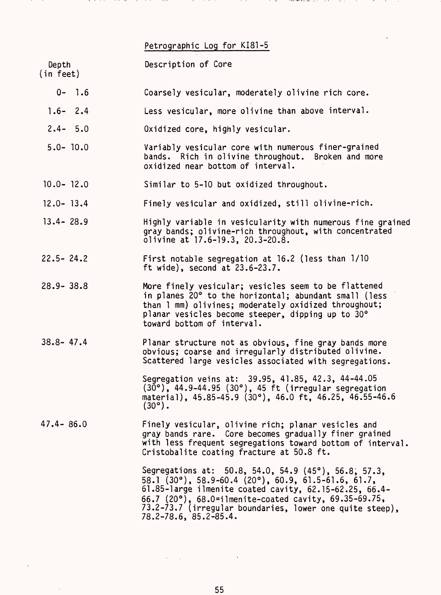#### Petrographic Log for KI81-5

Depth Description of Core

- (in feet)
	- 0- 1.6 Coarsely vesicular, moderately olivine rich core.
	- 1.6- 2.4 Less vesicular, more olivine than above interval.
	- 2.4- 5.0 Oxidized core, highly vesicular.
	- 5.0- 10.0 Variably vesicular core with numerous finer-grained bands. Rich in olivine throughout. Broken and more oxidized near bottom of interval.
- 10.0- 12.0 Similar to 5-10 but oxidized throughout.
- 12.0- 13.4 Finely vesicular and oxidized, still olivine-rich.
- 13.4- 28.9 Highly variable in vesicularity with numerous fine grained gray bands; olivine-rich throughout, with concentrated olivine at 17.6-19.3, 20.3-20.8.
- 22.5- 24.2 First notable segregation at 16.2 (less than 1/10 ft wide), second at 23.6-23.7.
- 28.9- 38.8 More finely vesicular; vesicles seem to be flattened in planes 20° to the horizontal; abundant small (less than 1 mm) olivines; moderately oxidized throughout; planar vesicles become steeper, dipping up to 30° toward bottom of interval.
- 38.8- 47.4 Planar structure not as obvious, fine gray bands more obvious; coarse and irregularly distributed olivine. Scattered large vesicles associated with segregations.

Segregation veins at: 39.95, 41.85, 42.3, 44-44.05 (30°), 44.9-44.95 (30°), 45 ft (irregular segregation material), 45.85-45.9 (30°), 46.0 ft, 46.25, 46.55-46.6  $(30^\circ)$ .

47.4- 86.0 Finely vesicular, olivine rich; planar vesicles and gray bands rare. Core becomes gradually finer grained with less frequent segregations toward bottom of interval. Cristobalite coating fracture at 50.8 ft.

> Segregations at: 50.8, 54.0, 54.9 (45°), 56.8, 57.3, 58.1 (30°), 58.9-60.4 (20°), 60.9, 61.5-61.6, 61.7, 61.85-large ilmenite coated cavity, 62.15-62.25, 66.4- 66.7 (20°), 68.0=ilmenite-coated cavity, 69.35-69.75, 73.2-73.7 (irregular boundaries, lower one quite steep), 78.2-78.6, 85.2-85.4.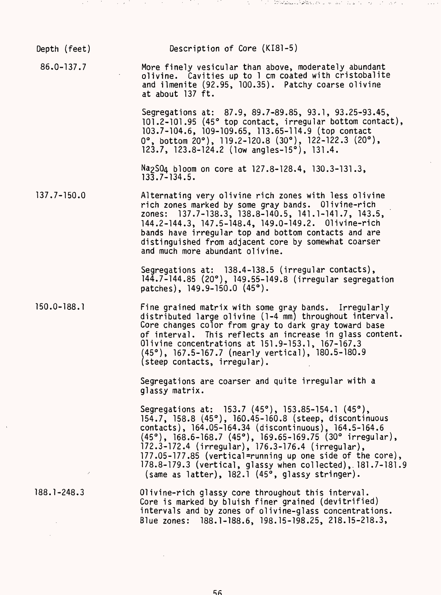| Depth (feet)    | Description of Core (KI81-5)                                                                                                                                                                                                                                                                                                                                                                                                                                                  |
|-----------------|-------------------------------------------------------------------------------------------------------------------------------------------------------------------------------------------------------------------------------------------------------------------------------------------------------------------------------------------------------------------------------------------------------------------------------------------------------------------------------|
| $86.0 - 137.7$  | More finely vesicular than above, moderately abundant<br>olivine. Cavities up to 1 cm coated with cristobalite<br>and ilmenite (92.95, 100.35). Patchy coarse olivine<br>at about 137 ft.                                                                                                                                                                                                                                                                                     |
|                 | Segregations at: 87.9, 89.7-89.85, 93.1, 93.25-93.45,<br>101.2-101.95 (45° top contact, irregular bottom contact),<br>103.7-104.6, 109-109.65, 113.65-114.9 (top contact<br>$0^\circ$ , bottom $20^\circ$ ), 119.2-120.8 (30°), 122-122.3 (20°),<br>123.7, 123.8-124.2 (low angles-15°), 131.4.                                                                                                                                                                               |
|                 | Na <sub>2</sub> S04 bloom on core at 127.8-128.4, 130.3-131.3,<br>$13\overline{3}$ , 7 - 134, 5.                                                                                                                                                                                                                                                                                                                                                                              |
| $137.7 - 150.0$ | Alternating very olivine rich zones with less olivine<br>rich zones marked by some gray bands. Olivine-rich<br>zones: 137.7-138.3, 138.8-140.5, 141.1-141.7, 143.5,<br>144.2-144.3, 147.5-148.4, 149.0-149.2. Olivine-rich<br>bands have irregular top and bottom contacts and are<br>distinguished from adjacent core by somewhat coarser<br>and much more abundant olivine.                                                                                                 |
|                 | Segregations at: 138.4-138.5 (irregular contacts),<br>144.7-144.85 (20°), 149.55-149.8 (irregular segregation<br>patches), 149.9-150.0 (45°).                                                                                                                                                                                                                                                                                                                                 |
| $150.0 - 188.1$ | Fine grained matrix with some gray bands. Irregularly<br>distributed large olivine (1-4 mm) throughout interval.<br>Core changes color from gray to dark gray toward base<br>of interval. This reflects an increase in glass content.<br>Olivine concentrations at 151.9-153.1, 167-167.3<br>(45°), 167.5-167.7 (nearly vertical), 180.5-180.9<br>(steep contacts, irregular).                                                                                                |
|                 | Segregations are coarser and quite irregular with a<br>glassy matrix.                                                                                                                                                                                                                                                                                                                                                                                                         |
|                 | Segregations at: 153.7 (45°), 153.85-154.1 (45°),<br>154.7, 158.8 (45°), 160.45-160.8 (steep, discontinuous<br>contacts), 164.05-164.34 (discontinuous), 164.5-164.6<br>$(45^{\circ})$ , 168.6-168.7 (45°), 169.65-169.75 (30° irregular),<br>172.3-172.4 (irregular), 176.3-176.4 (irregular),<br>177.05-177.85 (vertical=running up one side of the core),<br>178.8-179.3 (vertical, glassy when collected), 181.7-181.9<br>(same as latter), 182.1 (45°, glassy stringer). |
| $188.1 - 248.3$ | Olivine-rich glassy core throughout this interval.<br>Core is marked by bluish finer grained (devitrified)<br>intervals and by zones of olivine-glass concentrations.<br>Blue zones: 188.1-188.6, 198.15-198.25, 218.15-218.3,                                                                                                                                                                                                                                                |

ದ ಹಾಗೂ ಮಾಡಿದ್ದಾರೆ. ಇದರ ಅವರ ಅವರ ಪ್ರತಿ ಮಾಡಿದ್ದರು. ಇದರ ಪ್ರತಿ <mark>ಸೇರಿಕೊಂಡಿರುವ ಕೊಂಡಿರುವ ಪ್ರತಿ ಮಾಡಿದ್ದರು.</mark> ಇದರ ಮಾಡಿದ್ದರು

 $\sim 10^{-1}$ 

 $56$ 

 $\mathcal{L}^{\text{max}}_{\text{max}}$  , where  $\mathcal{L}^{\text{max}}_{\text{max}}$ 

 $\label{eq:2.1} \frac{1}{\sqrt{2}}\left(\frac{1}{\sqrt{2}}\right)^{2} \left(\frac{1}{\sqrt{2}}\right)^{2} \left(\frac{1}{\sqrt{2}}\right)^{2} \left(\frac{1}{\sqrt{2}}\right)^{2} \left(\frac{1}{\sqrt{2}}\right)^{2} \left(\frac{1}{\sqrt{2}}\right)^{2} \left(\frac{1}{\sqrt{2}}\right)^{2} \left(\frac{1}{\sqrt{2}}\right)^{2} \left(\frac{1}{\sqrt{2}}\right)^{2} \left(\frac{1}{\sqrt{2}}\right)^{2} \left(\frac{1}{\sqrt{2}}\right)^{2} \left(\$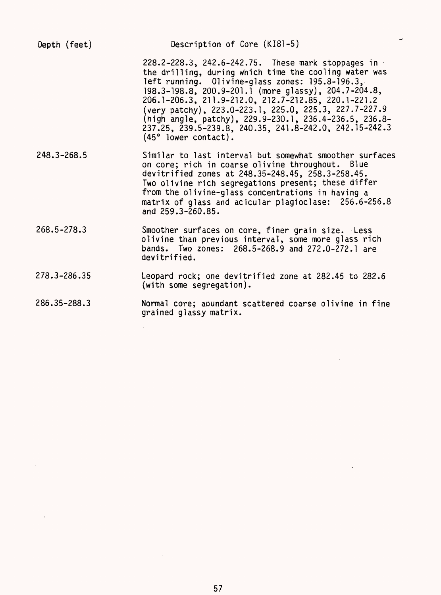| Depth (feet) | Description of Core (KI81-5)                                                                                                                                                                                                                                                                                                                                                                                                                                                                |
|--------------|---------------------------------------------------------------------------------------------------------------------------------------------------------------------------------------------------------------------------------------------------------------------------------------------------------------------------------------------------------------------------------------------------------------------------------------------------------------------------------------------|
|              | 228.2-228.3, 242.6-242.75. These mark stoppages in<br>the drilling, during which time the cooling water was<br>left running. Olivine-glass zones: 195.8-196.3,<br>198.3-198.8, 200.9-201.1 (more glassy), 204.7-204.8,<br>206.1-206.3, 211.9-212.0, 212.7-212.85, 220.1-221.2<br>(very patchy), 223.0-223.1, 225.0, 225.3, 227.7-227.9<br>(high angle, patchy), 229.9-230.1, 236.4-236.5, 236.8-<br>237.25, 239.5-239.8, 240.35, 241.8-242.0, 242.15-242.3<br>$(45^{\circ}$ lower contact). |
| 248.3-268.5  | Similar to last interval but somewhat smoother surfaces<br>on core; rich in coarse olivine throughout. Blue<br>devitrified zones at 248.35-248.45, 258.3-258.45.<br>Two olivine rich segregations present; these differ<br>from the olivine-glass concentrations in having a<br>matrix of glass and acicular plagioclase: 256.6-256.8<br>and 259.3-260.85.                                                                                                                                  |
| 268.5-278.3  | Smoother surfaces on core, finer grain size. Less<br>olivine than previous interval, some more glass rich<br>bands. Two zones: 268.5-268.9 and 272.0-272.1 are<br>devitrified.                                                                                                                                                                                                                                                                                                              |
| 278.3-286.35 | Leopard rock; one devitrified zone at 282.45 to 282.6<br>(with some segregation).                                                                                                                                                                                                                                                                                                                                                                                                           |
| 286.35-288.3 | Normal core; abundant scattered coarse olivine in fine<br>grained glassy matrix.                                                                                                                                                                                                                                                                                                                                                                                                            |
|              |                                                                                                                                                                                                                                                                                                                                                                                                                                                                                             |

 $\label{eq:2.1} \frac{1}{\sqrt{2}}\int_{\mathbb{R}^3}\frac{1}{\sqrt{2}}\left(\frac{1}{\sqrt{2}}\right)^2\frac{1}{\sqrt{2}}\left(\frac{1}{\sqrt{2}}\right)^2\frac{1}{\sqrt{2}}\left(\frac{1}{\sqrt{2}}\right)^2.$ 

 $\mathcal{L}^{\text{max}}_{\text{max}}$ 

 $\mathcal{L}^{\text{max}}_{\text{max}}$ 

 $\Delta \sim 10^{11}$ 

 $\Delta \sim 10^4$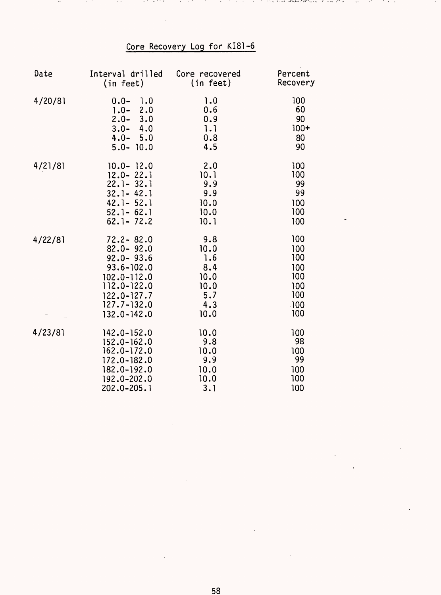# Core Recovery Log for KI81-6

ついみく しゅうあん さまどうしゃこ

್ ಅನ್ನ ತಿಂಗಿ ಕ

. . .

 $\ddot{\phantom{1}}$ 

| Date    | Interval drilled                                                                           | Core recovered                         | Percent                               |
|---------|--------------------------------------------------------------------------------------------|----------------------------------------|---------------------------------------|
|         | (in feet)                                                                                  | (in feet)                              | Recovery                              |
| 4/20/81 | $0.0 -$<br>1.0<br>$1.0 - 2.0$<br>$2.0 - 3.0$<br>$3.0 - 4.0$<br>$4.0 - 5.0$<br>$5.0 - 10.0$ | 1.0<br>0.6<br>0.9<br>1.1<br>0.8<br>4.5 | 100<br>60<br>90<br>$100+$<br>80<br>90 |
| 4/21/81 | $10.0 - 12.0$                                                                              | 2.0                                    | 100                                   |
|         | $12.0 - 22.1$                                                                              | 10.1                                   | 100                                   |
|         | $22.1 - 32.1$                                                                              | 9.9                                    | 99                                    |
|         | $32.1 - 42.1$                                                                              | 9.9                                    | 99                                    |
|         | $42.1 - 52.1$                                                                              | 10.0                                   | 100                                   |
|         | $52.1 - 62.1$                                                                              | 10.0                                   | 100                                   |
|         | $62.1 - 72.2$                                                                              | 10.1                                   | 100                                   |
| 4/22/81 | $72.2 - 82.0$                                                                              | 9.8                                    | 100                                   |
|         | $82.0 - 92.0$                                                                              | 10.0                                   | 100                                   |
|         | $92.0 - 93.6$                                                                              | 1.6                                    | 100                                   |
|         | $93.6 - 102.0$                                                                             | 8.4                                    | 100                                   |
|         | $102.0 - 112.0$                                                                            | 10.0                                   | 100                                   |
|         | 112.0-122.0                                                                                | 10.0                                   | 100                                   |
|         | $122.0 - 127.7$                                                                            | 5.7                                    | 100                                   |
|         | $127.7 - 132.0$                                                                            | 4.3                                    | $-100$                                |
|         | $132.0 - 142.0$                                                                            | 10.0                                   | 100                                   |
| 4/23/81 | $142.0 - 152.0$                                                                            | 10.0                                   | 100                                   |
|         | $152.0 - 162.0$                                                                            | 9.8                                    | 98                                    |
|         | $162.0 - 172.0$                                                                            | 10.0                                   | 100                                   |
|         | 172.0-182.0                                                                                | 9.9                                    | 99                                    |
|         | 182.0-192.0                                                                                | 10.0                                   | 100                                   |
|         | 192.0-202.0                                                                                | 10.0                                   | 100                                   |
|         | 202.0-205.1                                                                                | 3.1                                    | 100                                   |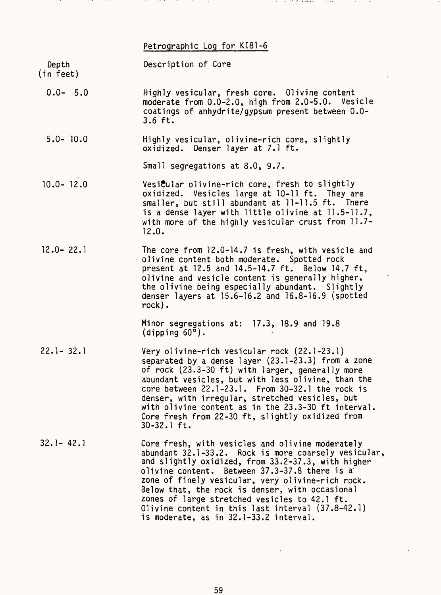#### Petrographic Log for KI81-6

Depth Description of Core

(in feet)

0.0- 5.0 Highly vesicular, fresh core. Olivine content moderate from 0.0-2.0, high from 2.0-5.0. Vesicle coatings of anhydrite/gypsum present between 0.0- 3.6 ft.

the company of the first partners of

5.0- 10.0 Highly vesicular, olivine-rich core, slightly oxidized. Denser layer at 7.1 ft.

Small segregations at 8.0, 9.7.

- 10.0- 12.0 Vesicular olivine-rich core, fresh to slightly oxidized. Vesicles large at 10-11 ft. They are smaller, but still abundant at 11-11.5 ft. There is a dense layer with little olivine at 11.5-11.7, with more of the highly vesicular crust from 11.7- 12.0.
- 12.0- 22.1 The core from 12.0-14.7 is fresh, with vesicle and olivine content both moderate. Spotted rock present at 12.5 and 14.5-14.7 ft. Below 14.7 ft, olivine and vesicle content is generally higher, the olivine being especially abundant. Slightly denser layers at 15.6-16.2 and 16.8-16.9 (spotted rock).

Minor segregations at: 17.3, 18.9 and 19.8  $(dipping 60<sup>°</sup>)$ .

- 22.1- 32.1 Very olivine-rich vesicular rock (22.1-23.1) separated by a dense layer (23.1-23.3) from a zone of rock (23.3-30 ft) with larger, generally more abundant vesicles, but with less olivine, than the core between 22.1-23.1. From 30-32.1 the rock is denser, with irregular, stretched vesicles, but with olivine content as in the 23.3-30 ft interval. Core fresh from 22-30 ft, slightly oxidized from 30-32.1 ft.
- 32.1- 42.1 Core fresh, with vesicles and olivine moderately abundant 32.1-33.2. Rock is more coarsely vesicular, and slightly oxidized, from 33.2-37.3, with higher olivine content. Between 37.3-37.8 there is a zone of finely vesicular, very olivine-rich rock. Below that, the rock is denser, with occasional zones of large stretched vesicles to 42.1 ft. Olivine content in this last interval (37.8-42.1) is moderate, as in 32.1-33.2 interval.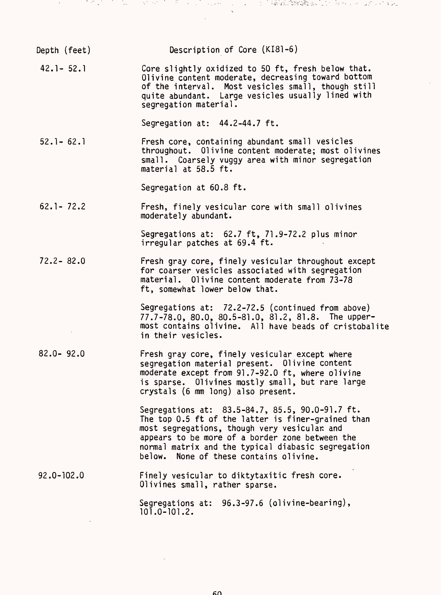| Depth (feet)   | Description of Core (KI81-6)                                                                                                                                                                                                                                                                             |
|----------------|----------------------------------------------------------------------------------------------------------------------------------------------------------------------------------------------------------------------------------------------------------------------------------------------------------|
| $42.1 - 52.1$  | Core slightly oxidized to 50 ft, fresh below that.<br>Olivine content moderate, decreasing toward bottom<br>of the interval. Most vesicles small, though still<br>quite abundant. Large vesicles usually lined with<br>segregation material.                                                             |
|                | Segregation at: 44.2-44.7 ft.                                                                                                                                                                                                                                                                            |
| $52.1 - 62.1$  | Fresh core, containing abundant small vesicles<br>throughout. Olivine content moderate; most olivines<br>small. Coarsely vuggy area with minor segregation<br>material at 58.5 ft.                                                                                                                       |
|                | Segregation at 60.8 ft.                                                                                                                                                                                                                                                                                  |
| $62.1 - 72.2$  | Fresh, finely vesicular core with small olivines<br>moderately abundant.                                                                                                                                                                                                                                 |
|                | Segregations at: 62.7 ft, 71.9-72.2 plus minor<br>irregular patches at 69.4 ft.                                                                                                                                                                                                                          |
| $72.2 - 82.0$  | Fresh gray core, finely vesicular throughout except<br>for coarser vesicles associated with segregation<br>material. Olivine content moderate from 73-78<br>ft, somewhat lower below that.                                                                                                               |
|                | Segregations at: 72.2-72.5 (continued from above)<br>77.7-78.0, 80.0, 80.5-81.0, 81.2, 81.8. The upper-<br>most contains olivine. All have beads of cristobalite<br>in their vesicles.                                                                                                                   |
| $82.0 - 92.0$  | Fresh gray core, finely vesicular except where<br>segregation material present. Olivine content<br>moderate except from 91.7-92.0 ft, where olivine<br>is sparse. Olivines mostly small, but rare large<br>crystals (6 mm long) also present.                                                            |
|                | Segregations at: 83.5-84.7, 85.5, 90.0-91.7 ft.<br>The top 0.5 ft of the latter is finer-grained than<br>most segregations, though very vesicular and<br>appears to be more of a border zone between the<br>normal matrix and the typical diabasic segregation<br>below. None of these contains olivine. |
| $92.0 - 102.0$ | Finely vesicular to diktytaxitic fresh core.<br>Olivines small, rather sparse.                                                                                                                                                                                                                           |
|                | Segregations at: 96.3-97.6 (olivine-bearing),<br>$101.0 - 101.2.$                                                                                                                                                                                                                                        |
|                |                                                                                                                                                                                                                                                                                                          |

e se en la familie de la companier de la proposició de la companie de l'Alaka fillatala de la companie de la p<br>En la companie de la companie de la companie de la companie de la companie de la companie de la companie de la

 $\mathcal{A}^{\pm}$ 

 $\hat{\mathcal{A}}$ 

 $60<sub>1</sub>$ 

 $\mathcal{L}^{\text{max}}_{\text{max}}$  and  $\mathcal{L}^{\text{max}}_{\text{max}}$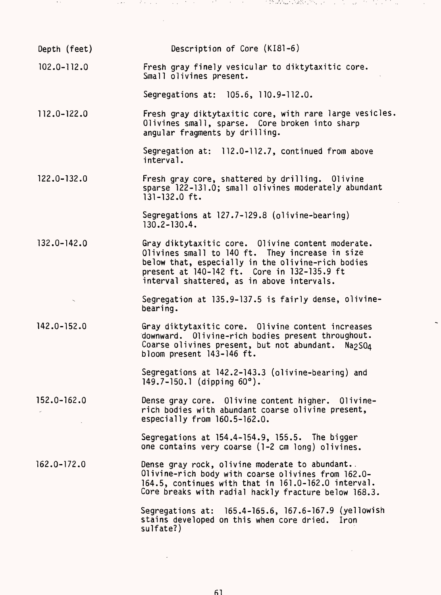| Depth (feet)    | Description of Core (KI81-6)                                                                                                                                                                                                                           |
|-----------------|--------------------------------------------------------------------------------------------------------------------------------------------------------------------------------------------------------------------------------------------------------|
| $102.0 - 112.0$ | Fresh gray finely vesicular to diktytaxitic core.<br>Small olivines present.                                                                                                                                                                           |
|                 | Segregations at: 105.6, 110.9-112.0.                                                                                                                                                                                                                   |
| 112.0-122.0     | Fresh gray diktytaxitic core, with rare large vesicles.<br>Olivines small, sparse. Core broken into sharp<br>angular fragments by drilling.                                                                                                            |
|                 | Segregation at: 112.0-112.7, continued from above<br>interval.                                                                                                                                                                                         |
| $122.0 - 132.0$ | Fresh gray core, shattered by drilling. Olivine<br>sparse 122-131.0; small olivines moderately abundant<br>$131 - 132.0$ ft.                                                                                                                           |
|                 | Segregations at 127.7-129.8 (olivine-bearing)<br>$130.2 - 130.4$ .                                                                                                                                                                                     |
| $132.0 - 142.0$ | Gray diktytaxitic core. Olivine content moderate.<br>Olivines small to 140 ft. They increase in size<br>below that, especially in the olivine-rich bodies<br>present at 140-142 ft. Core in 132-135.9 ft<br>interval shattered, as in above intervals. |
|                 | Segregation at 135.9-137.5 is fairly dense, olivine-<br>bearing.                                                                                                                                                                                       |
| $142.0 - 152.0$ | Gray diktytaxitic core. Olivine content increases<br>downward. Olivine-rich bodies present throughout.<br>Coarse olivines present, but not abundant. Na2SO4<br>bloom present 143-146 ft.                                                               |
|                 | Segregations at 142.2-143.3 (olivine-bearing) and<br>149.7-150.1 (dipping $60^{\circ}$ ).                                                                                                                                                              |
| $152.0 - 162.0$ | Dense gray core. Olivine content higher. Olivine-<br>rich bodies with abundant coarse olivine present,<br>especially from 160.5-162.0.                                                                                                                 |
|                 | Segregations at 154.4-154.9, 155.5. The bigger<br>one contains very coarse (1-2 cm long) olivines.                                                                                                                                                     |
| $162.0 - 172.0$ | Dense gray rock, olivine moderate to abundant.<br>Olivine-rich body with coarse olivines from 162.0-<br>164.5, continues with that in 161.0-162.0 interval.<br>Core breaks with radial hackly fracture below 168.3.                                    |
|                 | Segregations at: 165.4-165.6, 167.6-167.9 (yellowish<br>stains developed on this when core dried. Iron<br>sulfate?)                                                                                                                                    |

i dan secara dan berasal dan berasal dari sebagai dalam kemasanya dan berasal dan berasal dan berasal dan bera<br>Sejarah

 $\frac{1}{2} \frac{1}{2} \frac{1}{2} \frac{1}{2} \frac{1}{2}$ 

 $\mathcal{O}(\mathcal{O}_\mathcal{O})$  $\sim$ ेर १ वर 150

 $\mathcal{L}^{\text{max}}_{\text{max}}$ 

 $\mathcal{L}^{\text{max}}_{\text{max}}$ 

 $\sim 200$ 

61

 $\mathcal{L}^{\text{max}}_{\text{max}}$  ,  $\mathcal{L}^{\text{max}}_{\text{max}}$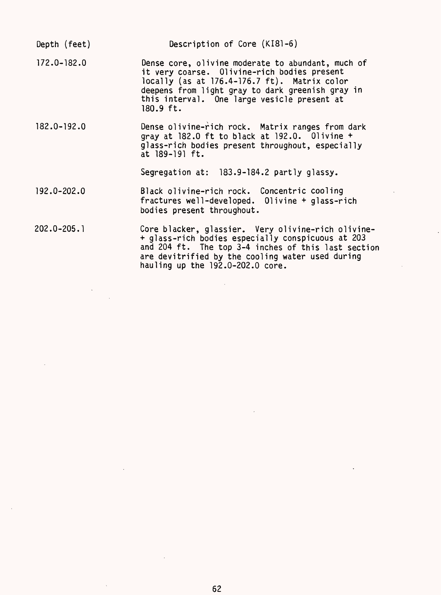Depth (feet) Description of Core (KI81-6) 172.0-182.0 Dense core, olivine moderate to abundant, much of it very coarse. 01ivine-rich bodies present locally (as at 176.4-176.7 ft). Matrix color deepens from light gray to dark greenish gray in this interval. One large vesicle present at 180.9 ft. 182.0-192.0 Dense olivine-rich rock. Matrix ranges from dark gray at 182.0 ft to black at 192.0. Olivine + glass-rich bodies present throughout, especially at 189-191 ft. Segregation at: 183.9-184.2 partly glassy. 192.0-202..0 Black olivine-rich rock. Concentric cooling fractures well-developed. Olivine + glass-rich bodies present throughout. 202.0-205.1 Core blacker, glassier. Very olivine-rich olivine-

+ glass-rich bodies especially conspicuous at 203 and 204 ft. The top 3-4 inches of this last section are devitrified by the cooling water used during hauling up the 192.0-202.0 core.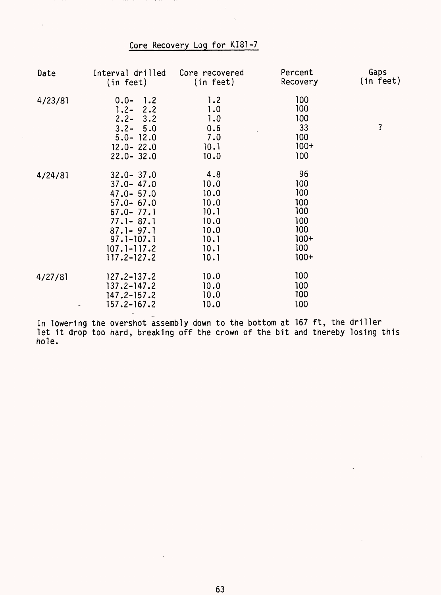## Core Recovery Log for KI81-7

| Date    | Interval drilled<br>(in feet)                                                                                                                                               | Core recovered<br>(in feet)                                                 | Percent<br>Recovery                                                     | Gaps<br>(in feet) |
|---------|-----------------------------------------------------------------------------------------------------------------------------------------------------------------------------|-----------------------------------------------------------------------------|-------------------------------------------------------------------------|-------------------|
| 4/23/81 | $0.0 - 1.2$<br>$1.2 - 2.2$<br>$2.2 - 3.2$<br>$3.2 - 5.0$<br>$5.0 - 12.0$<br>$12.0 - 22.0$<br>$22.0 - 32.0$                                                                  | 1.2<br>1.0<br>1.0<br>0.6<br>7.0<br>10.1<br>10.0                             | 100<br>100<br>100<br>33<br>100<br>$100+$<br>100                         | ?                 |
| 4/24/81 | $32.0 - 37.0$<br>$37.0 - 47.0$<br>$47.0 - 57.0$<br>$57.0 - 67.0$<br>$67.0 - 77.1$<br>$77.1 - 87.1$<br>$87.1 - 97.1$<br>$97.1 - 107.1$<br>$107.1 - 117.2$<br>$117.2 - 127.2$ | 4.8<br>10.0<br>10.0<br>10.0<br>10.1<br>10.0<br>10.0<br>10.1<br>10.1<br>10.1 | 96<br>100<br>100<br>100<br>100<br>100<br>100<br>$100+$<br>100<br>$100+$ |                   |
| 4/27/81 | $127.2 - 137.2$<br>$137.2 - 147.2$<br>$147.2 - 157.2$<br>$157.2 - 167.2$                                                                                                    | 10.0<br>10.0<br>10.0<br>10.0                                                | 100<br>100<br>100<br>100                                                |                   |

In lowering the overshot assembly down to the bottom at 167 ft, the driller let it drop too hard, breaking off the crown of the bit and thereby losing this hole.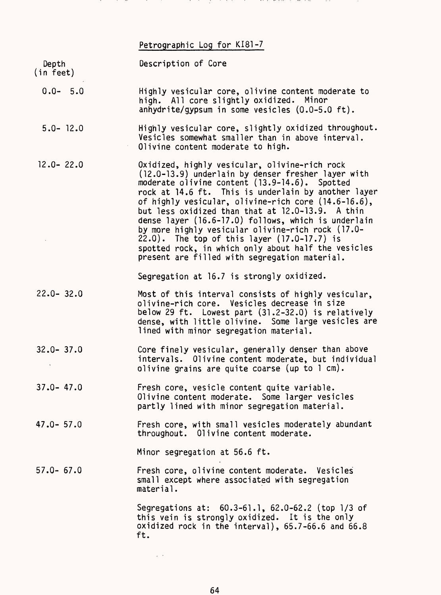# Petrographic Log for KI81-7

a ta 1999 zuw

ta ta ta

and the con-

<u>a di sebagai kacamatan di sebagai kacamatan di sebagai kecamatan di sebagai kecamatan di sebagai kecamatan di </u>

in the

in the con-

and the state of

and the

| Depth<br>(in feet) | Description of Core                                                                                                                                                                                                                                                                                                                                                                                                                                                                                                                                                                       |
|--------------------|-------------------------------------------------------------------------------------------------------------------------------------------------------------------------------------------------------------------------------------------------------------------------------------------------------------------------------------------------------------------------------------------------------------------------------------------------------------------------------------------------------------------------------------------------------------------------------------------|
| $0.0 - 5.0$        | Highly vesicular core, olivine content moderate to<br>high. All core slightly oxidized. Minor<br>anhydrite/gypsum in some vesicles (0.0-5.0 ft).                                                                                                                                                                                                                                                                                                                                                                                                                                          |
| $5.0 - 12.0$       | Highly vesicular core, slightly oxidized throughout.<br>Vesicles somewhat smaller than in above interval.<br>Olivine content moderate to high.                                                                                                                                                                                                                                                                                                                                                                                                                                            |
| $12.0 - 22.0$      | Oxidized, highly vesicular, olivine-rich rock<br>(12.0-13.9) underlain by denser fresher layer with<br>moderate olivine content (13.9-14.6). Spotted<br>rock at 14.6 ft. This is underlain by another layer<br>of highly vesicular, olivine-rich core (14.6-16.6),<br>but less oxidized than that at 12.0-13.9. A thin<br>dense layer (16.6-17.0) follows, which is underlain<br>by more highly vesicular olivine-rich rock (17.0-<br>22.0). The top of this layer (17.0-17.7) is<br>spotted rock, in which only about half the vesicles<br>present are filled with segregation material. |
|                    | Segregation at 16.7 is strongly oxidized.                                                                                                                                                                                                                                                                                                                                                                                                                                                                                                                                                 |
| $22.0 - 32.0$      | Most of this interval consists of highly vesicular,<br>olivine-rich core. Vesicles decrease in size<br>below 29 ft. Lowest part (31.2-32.0) is relatively<br>dense, with little olivine. Some large vesicles are<br>lined with minor segregation material.                                                                                                                                                                                                                                                                                                                                |
| $32.0 - 37.0$      | Core finely vesicular, generally denser than above<br>intervals. Olivine content moderate, but individual<br>olivine grains are quite coarse (up to 1 cm).                                                                                                                                                                                                                                                                                                                                                                                                                                |
| $37.0 - 47.0$      | Fresh core, vesicle content quite variable.<br>Olivine content moderate. Some larger vesicles<br>partly lined with minor segregation material.                                                                                                                                                                                                                                                                                                                                                                                                                                            |
| $47.0 - 57.0$      | Fresh core, with small vesicles moderately abundant<br>throughout. Olivine content moderate.                                                                                                                                                                                                                                                                                                                                                                                                                                                                                              |
|                    | Minor segregation at 56.6 ft.                                                                                                                                                                                                                                                                                                                                                                                                                                                                                                                                                             |
| $57.0 - 67.0$      | Fresh core, olivine content moderate. Vesicles<br>small except where associated with segregation<br>material.                                                                                                                                                                                                                                                                                                                                                                                                                                                                             |
|                    | Segregations at: 60.3-61.1, 62.0-62.2 (top 1/3 of<br>this vein is strongly oxidized. It is the only<br>oxidized rock in the interval), 65.7-66.6 and 66.8<br>ft.                                                                                                                                                                                                                                                                                                                                                                                                                          |
|                    |                                                                                                                                                                                                                                                                                                                                                                                                                                                                                                                                                                                           |

 $\hat{\mathcal{L}}(\hat{\mathcal{H}})$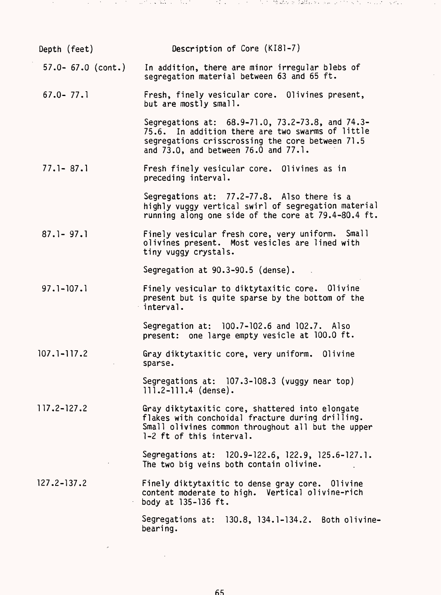| Depth (feet)          | Description of Core (KI81-7)                                                                                                                                                                     |
|-----------------------|--------------------------------------------------------------------------------------------------------------------------------------------------------------------------------------------------|
| $57.0 - 67.0$ (cont.) | In addition, there are minor irregular blebs of<br>segregation material between 63 and 65 ft.                                                                                                    |
| $67.0 - 77.1$         | Fresh, finely vesicular core. Olivines present,<br>but are mostly small.                                                                                                                         |
|                       | Segregations at: 68.9-71.0, 73.2-73.8, and 74.3-<br>75.6. In addition there are two swarms of little<br>segregations crisscrossing the core between 71.5<br>and 73.0, and between 76.0 and 77.1. |
| $77.1 - 87.1$         | Fresh finely vesicular core. Olivines as in<br>preceding interval.                                                                                                                               |
|                       | Segregations at: 77.2-77.8. Also there is a<br>highly vuggy vertical swirl of segregation material<br>running along one side of the core at 79.4-80.4 ft.                                        |
| $87.1 - 97.1$         | Finely vesicular fresh core, very uniform. Small<br>olivines present. Most vesicles are lined with<br>tiny vuggy crystals.                                                                       |
|                       | Segregation at 90.3-90.5 (dense).                                                                                                                                                                |
| $97.1 - 107.1$        | Finely vesicular to diktytaxitic core. Olivine<br>present but is quite sparse by the bottom of the<br>interval.                                                                                  |
|                       | Segregation at: 100.7-102.6 and 102.7. Also<br>present: one large empty vesicle at 100.0 ft.                                                                                                     |
| $107.1 - 117.2$       | Gray diktytaxitic core, very uniform. Olivine<br>sparse.                                                                                                                                         |
|                       | Segregations at: 107.3-108.3 (vuggy near top)<br>$111.2 - 111.4$ (dense).                                                                                                                        |
| $117.2 - 127.2$       | Gray diktytaxitic core, shattered into elongate<br>flakes with conchoidal fracture during drilling.<br>Small olivines common throughout all but the upper<br>1-2 ft of this interval.            |
|                       | Segregations at: 120.9-122.6, 122.9, 125.6-127.1.<br>The two big veins both contain olivine.                                                                                                     |
| $127.2 - 137.2$       | Finely diktytaxitic to dense gray core. Olivine<br>content moderate to high. Vertical olivine-rich<br>body at 135-136 ft.                                                                        |
|                       | Segregations at: 130.8, 134.1-134.2. Both olivine-                                                                                                                                               |

bearing.

J.

 $\mathcal{F}(\mathcal{F})$  and  $\mathcal{F}(\mathcal{F})$  and  $\mathcal{F}(\mathcal{F})$ 

 $\lambda$  $\sim$   $\sim$  الموارد والمكافحة والمتابع

 $\mathcal{O}(\mathcal{E})$ 

72 T.

(陰謀など手続おり) ぶん よくしゃきしゃ こくしゃくい

 $\bar{z}$ 

 $\hat{\mathcal{L}}$